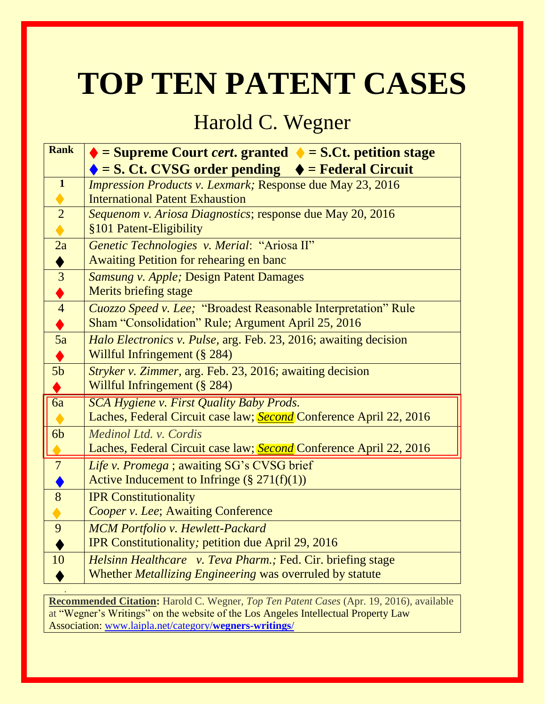# **TOP TEN PATENT CASES**

# Harold C. Wegner

| <b>Rank</b>               | $\triangle$ = Supreme Court <i>cert</i> . granted $\triangle$ = S.Ct. petition stage |
|---------------------------|--------------------------------------------------------------------------------------|
|                           | $\bullet$ = S. Ct. CVSG order pending $\bullet$ = Federal Circuit                    |
| $\mathbf{1}$              | <b>Impression Products v. Lexmark; Response due May 23, 2016</b>                     |
| $\bullet$                 | <b>International Patent Exhaustion</b>                                               |
| $\overline{2}$            | Sequenom v. Ariosa Diagnostics; response due May 20, 2016                            |
| $\blacklozenge$           | §101 Patent-Eligibility                                                              |
| 2a                        | Genetic Technologies v. Merial: "Ariosa II"                                          |
|                           | Awaiting Petition for rehearing en banc                                              |
| $\frac{\triangleleft}{3}$ | <b>Samsung v. Apple; Design Patent Damages</b>                                       |
| $\frac{\blacklozenge}{4}$ | <b>Merits briefing stage</b>                                                         |
|                           | Cuozzo Speed v. Lee; "Broadest Reasonable Interpretation" Rule                       |
|                           | Sham "Consolidation" Rule; Argument April 25, 2016                                   |
| $\frac{1}{5a}$            | Halo Electronics v. Pulse, arg. Feb. 23, 2016; awaiting decision                     |
| ♦                         | Willful Infringement (§ 284)                                                         |
| 5 <sub>b</sub>            | Stryker v. Zimmer, arg. Feb. 23, 2016; awaiting decision                             |
|                           | Willful Infringement (§ 284)                                                         |
| $\overline{6a}$           | <b>SCA Hygiene v. First Quality Baby Prods.</b>                                      |
|                           | Laches, Federal Circuit case law; Second Conference April 22, 2016                   |
| 6 <sub>b</sub>            | Medinol Ltd. v. Cordis                                                               |
|                           | Laches, Federal Circuit case law; Second Conference April 22, 2016                   |
| $\overline{7}$            | Life v. Promega ; awaiting SG's CVSG brief                                           |
|                           | Active Inducement to Infringe $(\S 271(f)(1))$                                       |
| $\overline{8}$            | <b>IPR Constitutionality</b>                                                         |
| $\blacklozenge$           | Cooper v. Lee; Awaiting Conference                                                   |
| $\overline{9}$            | <b>MCM Portfolio v. Hewlett-Packard</b>                                              |
|                           | <b>IPR Constitutionality; petition due April 29, 2016</b>                            |
| 10                        | Helsinn Healthcare v. Teva Pharm.; Fed. Cir. briefing stage                          |
|                           | Whether <i>Metallizing Engineering</i> was overruled by statute                      |
|                           |                                                                                      |

**Recommended Citation:** Harold C. Wegner, *Top Ten Patent Cases* (Apr. 19, 2016)*,* available at "Wegner's Writings" on the website of the Los Angeles Intellectual Property Law Association: [www.laipla.net/category/](http://www.laipla.net/category/wegners-writings/)**wegners-writings**/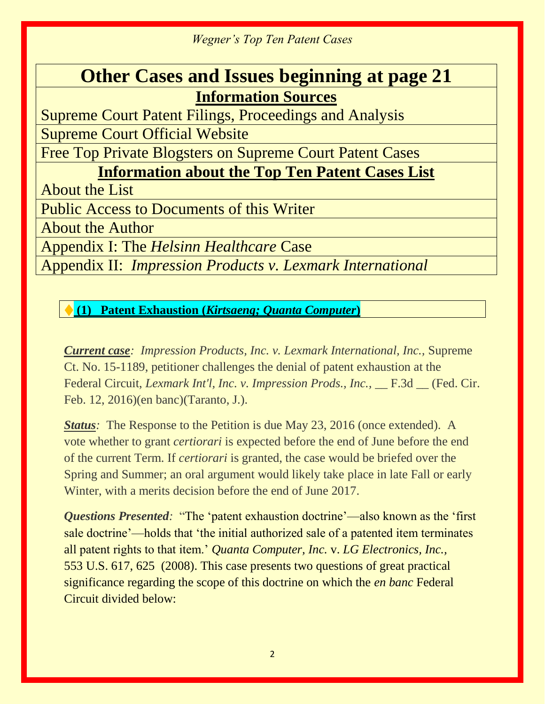# **Other Cases and Issues beginning at page 21 Information Sources**

Supreme Court Patent Filings, Proceedings and Analysis Supreme Court Official Website

Free Top Private Blogsters on Supreme Court Patent Cases

# **Information about the Top Ten Patent Cases List**

About the List

Public Access to Documents of this Writer

About the Author

Appendix I: The *Helsinn Healthcare* Case

Appendix II: *Impression Products v. Lexmark International*

♦ **(1) Patent Exhaustion (***Kirtsaeng; Quanta Computer***)**

*Current case: Impression Products, Inc. v. Lexmark International, Inc.,* Supreme Ct. No. 15-1189, petitioner challenges the denial of patent exhaustion at the Federal Circuit, *Lexmark Int'l, Inc. v. Impression Prods., Inc.,* \_\_ F.3d \_\_ (Fed. Cir. Feb. 12, 2016)(en banc)(Taranto, J.).

*Status*: The Response to the Petition is due May 23, 2016 (once extended). A vote whether to grant *certiorari* is expected before the end of June before the end of the current Term. If *certiorari* is granted, the case would be briefed over the Spring and Summer; an oral argument would likely take place in late Fall or early Winter, with a merits decision before the end of June 2017.

*Questions Presented:* "The 'patent exhaustion doctrine'—also known as the 'first sale doctrine'—holds that 'the initial authorized sale of a patented item terminates all patent rights to that item.' *Quanta Computer, Inc.* v. *LG Electronics, Inc.,*  553 U.S. 617, 625 (2008). This case presents two questions of great practical significance regarding the scope of this doctrine on which the *en banc* Federal Circuit divided below: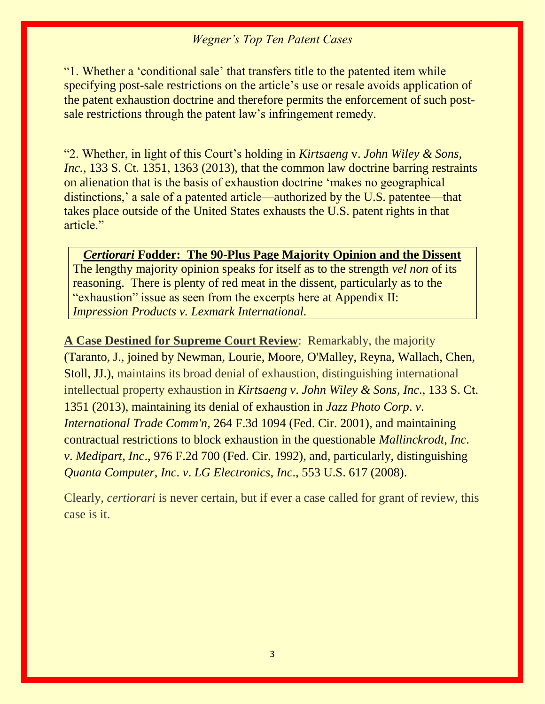"1. Whether a 'conditional sale' that transfers title to the patented item while specifying post-sale restrictions on the article's use or resale avoids application of the patent exhaustion doctrine and therefore permits the enforcement of such postsale restrictions through the patent law's infringement remedy.

"2. Whether, in light of this Court's holding in *Kirtsaeng* v. *John Wiley & Sons, Inc.,* 133 S. Ct. 1351, 1363 (2013), that the common law doctrine barring restraints on alienation that is the basis of exhaustion doctrine 'makes no geographical distinctions,' a sale of a patented article—authorized by the U.S. patentee—that takes place outside of the United States exhausts the U.S. patent rights in that article."

#### *Certiorari* **Fodder: The 90-Plus Page Majority Opinion and the Dissent**

The lengthy majority opinion speaks for itself as to the strength *vel non* of its reasoning. There is plenty of red meat in the dissent, particularly as to the "exhaustion" issue as seen from the excerpts here at Appendix II: *Impression Products v. Lexmark International.*

**A Case Destined for Supreme Court Review**: Remarkably, the majority (Taranto, J., joined by Newman, Lourie, Moore, O'Malley, Reyna, Wallach, Chen, Stoll, JJ.), maintains its broad denial of exhaustion, distinguishing international intellectual property exhaustion in *Kirtsaeng v*. *John Wiley & Sons*, *Inc*., 133 S. Ct. 1351 (2013), maintaining its denial of exhaustion in *Jazz Photo Corp*. *v*. *International Trade Comm'n,* 264 F.3d 1094 (Fed. Cir. 2001), and maintaining contractual restrictions to block exhaustion in the questionable *Mallinckrodt*, *Inc*. *v*. *Medipart*, *Inc*., 976 F.2d 700 (Fed. Cir. 1992), and, particularly, distinguishing *Quanta Computer*, *Inc*. *v*. *LG Electronics*, *Inc*., 553 U.S. 617 (2008).

Clearly, *certiorari* is never certain, but if ever a case called for grant of review, this case is it.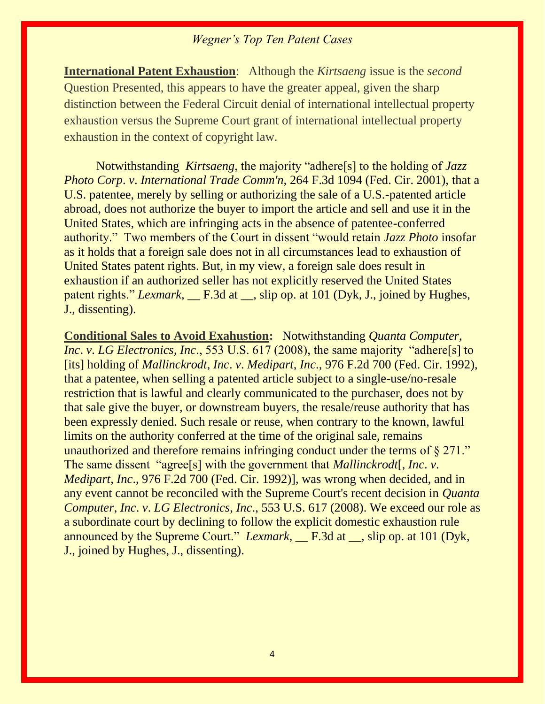**International Patent Exhaustion**: Although the *Kirtsaeng* issue is the *second*  Question Presented, this appears to have the greater appeal, given the sharp distinction between the Federal Circuit denial of international intellectual property exhaustion versus the Supreme Court grant of international intellectual property exhaustion in the context of copyright law.

Notwithstanding *Kirtsaeng*, the majority "adhere[s] to the holding of *Jazz Photo Corp*. *v*. *International Trade Comm'n,* 264 F.3d 1094 (Fed. Cir. 2001), that a U.S. patentee, merely by selling or authorizing the sale of a U.S.-patented article abroad, does not authorize the buyer to import the article and sell and use it in the United States, which are infringing acts in the absence of patentee-conferred authority." Two members of the Court in dissent "would retain *Jazz Photo* insofar as it holds that a foreign sale does not in all circumstances lead to exhaustion of United States patent rights. But, in my view, a foreign sale does result in exhaustion if an authorized seller has not explicitly reserved the United States patent rights." *Lexmark*, <u>\_\_</u> F.3d at \_\_, slip op. at 101 (Dyk, J., joined by Hughes, J., dissenting).

**Conditional Sales to Avoid Exahustion:** Notwithstanding *Quanta Computer*, *Inc. v. LG Electronics, Inc.*, 553 U.S. 617 (2008), the same majority "adhere<sup>[s]</sup> to [its] holding of *Mallinckrodt*, *Inc*. *v*. *Medipart*, *Inc*., 976 F.2d 700 (Fed. Cir. 1992), that a patentee, when selling a patented article subject to a single-use/no-resale restriction that is lawful and clearly communicated to the purchaser, does not by that sale give the buyer, or downstream buyers, the resale/reuse authority that has been expressly denied. Such resale or reuse, when contrary to the known, lawful limits on the authority conferred at the time of the original sale, remains unauthorized and therefore remains infringing conduct under the terms of § 271." The same dissent "agree[s] with the government that *Mallinckrodt*[, *Inc*. *v*. *Medipart*, *Inc*., 976 F.2d 700 (Fed. Cir. 1992)], was wrong when decided, and in any event cannot be reconciled with the Supreme Court's recent decision in *Quanta Computer*, *Inc*. *v*. *LG Electronics*, *Inc*., [553 U.S. 617 \(2008\).](https://apps.fastcase.com/CaseLawPortal/Pages/Secure/Document.aspx?LTID=6Xz9mv8jjMfNCjECqc2%2frnwttHs8K%2f1%2fykEllXImRO4WUkZRSDN4A%2fcjzSQVAVe2YRmgdgkUoRcnb4Wfio7zKSpjbVvf5oR8uE%2badss9R1UF1bCGSsibYhE8ooPoikm67%2fipWhHG%2bKcrQDk%2fa6z8pMnY3zgOrhm6Yh8Y5uebQ9A%3d&ECF=553+U.S.+617+(2008)) We exceed our role as a subordinate court by declining to follow the explicit domestic exhaustion rule announced by the Supreme Court." *Lexmark*, <u>\_\_</u> F.3d at \_\_, slip op. at 101 (Dyk, J., joined by Hughes, J., dissenting).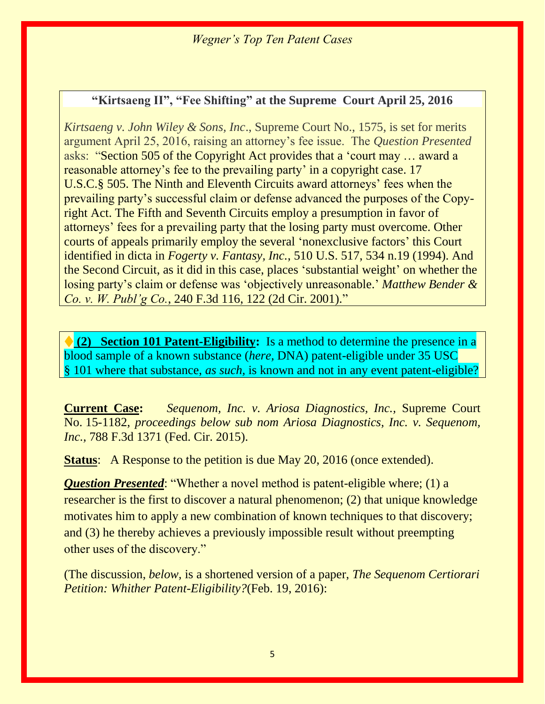#### **"Kirtsaeng II", "Fee Shifting" at the Supreme Court April 25, 2016**

*Kirtsaeng v. John Wiley & Sons, Inc*., Supreme Court No., 1575, is set for merits argument April 25, 2016, raising an attorney's fee issue. The *Question Presented*  asks: "Section 505 of the Copyright Act provides that a 'court may … award a reasonable attorney's fee to the prevailing party' in a copyright case. 17 U.S.C.§ 505. The Ninth and Eleventh Circuits award attorneys' fees when the prevailing party's successful claim or defense advanced the purposes of the Copyright Act. The Fifth and Seventh Circuits employ a presumption in favor of attorneys' fees for a prevailing party that the losing party must overcome. Other courts of appeals primarily employ the several 'nonexclusive factors' this Court identified in dicta in *Fogerty v. Fantasy, Inc.*, 510 U.S. 517, 534 n.19 (1994). And the Second Circuit, as it did in this case, places 'substantial weight' on whether the losing party's claim or defense was 'objectively unreasonable.' *Matthew Bender & Co. v. W. Publ'g Co.*, 240 F.3d 116, 122 (2d Cir. 2001)."

♦ **(2) Section 101 Patent-Eligibility:** Is a method to determine the presence in a blood sample of a known substance (*here,* DNA) patent-eligible under 35 USC § 101 where that substance, *as such,* is known and not in any event patent-eligible?

**Current Case:** *Sequenom, Inc. v. Ariosa Diagnostics, Inc.,* Supreme Court No. 15-1182, *proceedings below sub nom Ariosa Diagnostics, Inc. v. Sequenom, Inc.,* 788 F.3d 1371 (Fed. Cir. 2015).

**Status:** A Response to the petition is due May 20, 2016 (once extended).

*Question Presented*: "Whether a novel method is patent-eligible where; (1) a researcher is the first to discover a natural phenomenon; (2) that unique knowledge motivates him to apply a new combination of known techniques to that discovery; and (3) he thereby achieves a previously impossible result without preempting other uses of the discovery."

(The discussion, *below,* is a shortened version of a paper, *The Sequenom Certiorari Petition: Whither Patent-Eligibility?*(Feb. 19, 2016):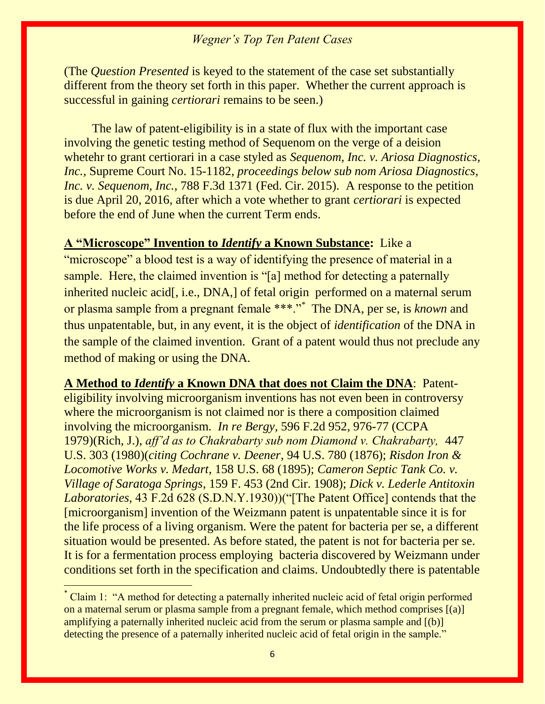(The *Question Presented* is keyed to the statement of the case set substantially different from the theory set forth in this paper. Whether the current approach is successful in gaining *certiorari* remains to be seen.)

The law of patent-eligibility is in a state of flux with the important case involving the genetic testing method of Sequenom on the verge of a deision whetehr to grant certiorari in a case styled as *Sequenom, Inc. v. Ariosa Diagnostics, Inc.,* Supreme Court No. 15-1182, *proceedings below sub nom Ariosa Diagnostics, Inc. v. Sequenom, Inc., 788 F.3d 1371 (Fed. Cir. 2015). A response to the petition* is due April 20, 2016, after which a vote whether to grant *certiorari* is expected before the end of June when the current Term ends.

**A "Microscope" Invention to** *Identify* **a Known Substance:** Like a "microscope" a blood test is a way of identifying the presence of material in a sample. Here, the claimed invention is "[a] method for detecting a paternally inherited nucleic acid[, i.e., DNA,] of fetal origin performed on a maternal serum or plasma sample from a pregnant female \*\*\*."\* The DNA, per se, is *known* and thus unpatentable, but, in any event, it is the object of *identification* of the DNA in the sample of the claimed invention. Grant of a patent would thus not preclude any method of making or using the DNA.

**A Method to** *Identify* **a Known DNA that does not Claim the DNA**: Patenteligibility involving microorganism inventions has not even been in controversy where the microorganism is not claimed nor is there a composition claimed involving the microorganism. *In re Bergy,* 596 F.2d 952, 976-77 (CCPA 1979)(Rich, J.), *aff'd as to Chakrabarty sub nom Diamond v. Chakrabarty,* 447 U.S. 303 (1980)(*citing Cochrane v. Deener*, 94 U.S. 780 (1876); *Risdon Iron & Locomotive Works v. Medart*, 158 U.S. 68 (1895); *Cameron Septic Tank Co. v. Village of Saratoga Springs*, 159 F. 453 (2nd Cir. 1908); *Dick v. Lederle Antitoxin Laboratories,* 43 F.2d 628 (S.D.N.Y.1930))("[The Patent Office] contends that the [microorganism] invention of the Weizmann patent is unpatentable since it is for the life process of a living organism. Were the patent for bacteria per se, a different situation would be presented. As before stated, the patent is not for bacteria per se. It is for a fermentation process employing bacteria discovered by Weizmann under conditions set forth in the specification and claims. Undoubtedly there is patentable

 $\overline{a}$ 

<sup>\*</sup> Claim 1: "A method for detecting a paternally inherited nucleic acid of fetal origin performed on a maternal serum or plasma sample from a pregnant female, which method comprises [(a)] amplifying a paternally inherited nucleic acid from the serum or plasma sample and [(b)] detecting the presence of a paternally inherited nucleic acid of fetal origin in the sample."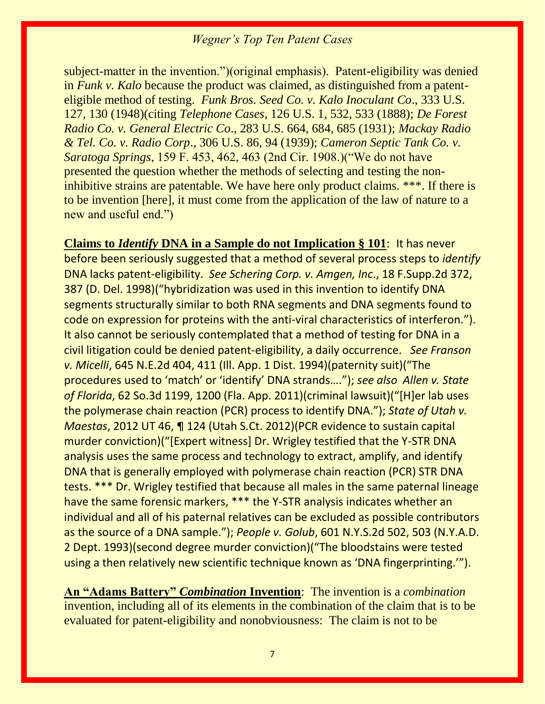subject-matter in the invention.")(original emphasis). Patent-eligibility was denied in *Funk v. Kalo* because the product was claimed, as distinguished from a patenteligible method of testing. *Funk Bros. Seed Co. v. Kalo Inoculant Co*., 333 U.S. 127, 130 (1948)(citing *Telephone Cases*, 126 U.S. 1, 532, 533 (1888); *De Forest Radio Co. v. General Electric Co*., 283 U.S. 664, 684, 685 (1931); *Mackay Radio & Tel. Co. v. Radio Corp*., 306 U.S. 86, 94 (1939); *Cameron Septic Tank Co. v. Saratoga Springs*, 159 F. 453, 462, 463 (2nd Cir. 1908.)("We do not have presented the question whether the methods of selecting and testing the noninhibitive strains are patentable. We have here only product claims. \*\*\*. If there is to be invention [here], it must come from the application of the law of nature to a new and useful end.")

**Claims to** *Identify* **DNA in a Sample do not Implication § 101**: It has never before been seriously suggested that a method of several process steps to *identify*  DNA lacks patent-eligibility. *See Schering Corp. v. Amgen, Inc*., 18 F.Supp.2d 372, 387 (D. Del. 1998)("hybridization was used in this invention to identify DNA segments structurally similar to both RNA segments and DNA segments found to code on expression for proteins with the anti-viral characteristics of interferon."). It also cannot be seriously contemplated that a method of testing for DNA in a civil litigation could be denied patent-eligibility, a daily occurrence. *See Franson v. Micelli*, 645 N.E.2d 404, 411 (Ill. App. 1 Dist. 1994)(paternity suit)("The procedures used to 'match' or 'identify' DNA strands…."); *see also Allen v. State of Florida*, 62 So.3d 1199, 1200 (Fla. App. 2011)(criminal lawsuit)("[H]er lab uses the polymerase chain reaction (PCR) process to identify DNA."); *State of Utah v. Maestas*, 2012 UT 46, ¶ 124 (Utah S.Ct. 2012)(PCR evidence to sustain capital murder conviction)("[Expert witness] Dr. Wrigley testified that the Y-STR DNA analysis uses the same process and technology to extract, amplify, and identify DNA that is generally employed with polymerase chain reaction (PCR) STR DNA tests. \*\*\* Dr. Wrigley testified that because all males in the same paternal lineage have the same forensic markers, \*\*\* the Y-STR analysis indicates whether an individual and all of his paternal relatives can be excluded as possible contributors as the source of a DNA sample."); *People v. Golub*, 601 N.Y.S.2d 502, 503 (N.Y.A.D. 2 Dept. 1993)(second degree murder conviction)("The bloodstains were tested using a then relatively new scientific technique known as 'DNA fingerprinting.'").

**An "Adams Battery"** *Combination* **Invention**: The invention is a *combination*  invention*,* including all of its elements in the combination of the claim that is to be evaluated for patent-eligibility and nonobviousness: The claim is not to be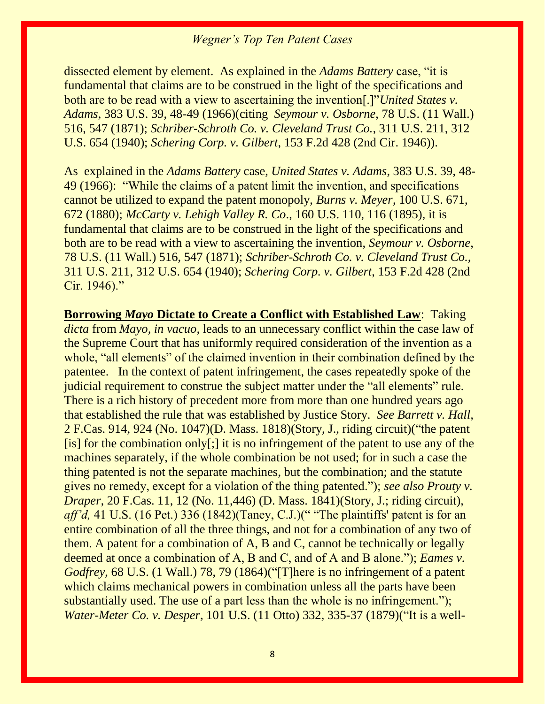dissected element by element.As explained in the *Adams Battery* case, "it is fundamental that claims are to be construed in the light of the specifications and both are to be read with a view to ascertaining the invention[.]"*United States v. Adams*, 383 U.S. 39, 48-49 (1966)(citing *Seymour v. Osborne*, 78 U.S. (11 Wall.) 516, 547 (1871); *Schriber-Schroth Co. v. Cleveland Trust Co.,* 311 U.S. 211, 312 U.S. 654 (1940); *Schering Corp. v. Gilbert*, 153 F.2d 428 (2nd Cir. 1946)).

As explained in the *Adams Battery* case, *United States v. Adams*, 383 U.S. 39, 48- 49 (1966): "While the claims of a patent limit the invention, and specifications cannot be utilized to expand the patent monopoly, *Burns v. Meyer*, 100 U.S. 671, 672 (1880); *McCarty v. Lehigh Valley R. Co*., 160 U.S. 110, 116 (1895), it is fundamental that claims are to be construed in the light of the specifications and both are to be read with a view to ascertaining the invention, *Seymour v. Osborne*, 78 U.S. (11 Wall.) 516, 547 (1871); *Schriber-Schroth Co. v. Cleveland Trust Co.,* 311 U.S. 211, 312 U.S. 654 (1940); *Schering Corp. v. Gilbert*, 153 F.2d 428 (2nd Cir. 1946)."

**Borrowing** *Mayo* **Dictate to Create a Conflict with Established Law**: Taking *dicta* from *Mayo, in vacuo,* leads to an unnecessary conflict within the case law of the Supreme Court that has uniformly required consideration of the invention as a whole, "all elements" of the claimed invention in their combination defined by the patentee. In the context of patent infringement, the cases repeatedly spoke of the judicial requirement to construe the subject matter under the "all elements" rule. There is a rich history of precedent more from more than one hundred years ago that established the rule that was established by Justice Story. *See Barrett v. Hall,*  2 F.Cas. 914, 924 (No. 1047)(D. Mass. 1818)(Story, J., riding circuit)("the patent [is] for the combination only[;] it is no infringement of the patent to use any of the machines separately, if the whole combination be not used; for in such a case the thing patented is not the separate machines, but the combination; and the statute gives no remedy, except for a violation of the thing patented."); *see also Prouty v. Draper*, 20 F.Cas. 11, 12 (No. 11, 446) (D. Mass. 1841) (Story, J.; riding circuit), *aff'd*, 41 U.S. (16 Pet.) 336 (1842)(Taney, C.J.)(" "The plaintiffs' patent is for an entire combination of all the three things, and not for a combination of any two of them. A patent for a combination of A, B and C, cannot be technically or legally deemed at once a combination of A, B and C, and of A and B alone."); *Eames v. Godfrey*, 68 U.S. (1 Wall.) 78, 79 (1864)("[T]here is no infringement of a patent which claims mechanical powers in combination unless all the parts have been substantially used. The use of a part less than the whole is no infringement."); *Water-Meter Co. v. Desper*, 101 U.S. (11 Otto) 332, 335-37 (1879)("It is a well-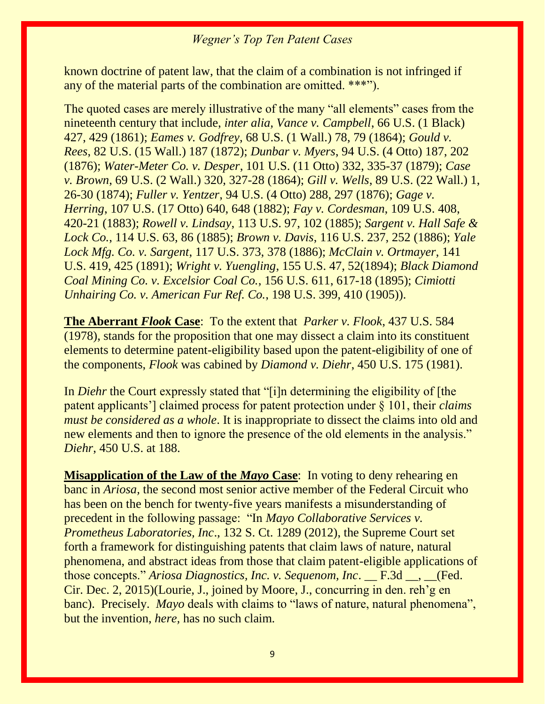known doctrine of patent law, that the claim of a combination is not infringed if any of the material parts of the combination are omitted. \*\*\*").

The quoted cases are merely illustrative of the many "all elements" cases from the nineteenth century that include, *inter alia, Vance v. Campbell*, 66 U.S. (1 Black) 427, 429 (1861); *Eames v. Godfrey*, 68 U.S. (1 Wall.) 78, 79 (1864); *Gould v. Rees*, 82 U.S. (15 Wall.) 187 (1872); *Dunbar v. Myers*, 94 U.S. (4 Otto) 187, 202 (1876); *Water-Meter Co. v. Desper*, 101 U.S. (11 Otto) 332, 335-37 (1879); *Case v. Brown*, 69 U.S. (2 Wall.) 320, 327-28 (1864); *Gill v. Wells*, 89 U.S. (22 Wall.) 1, 26-30 (1874); *Fuller v. Yentzer*, 94 U.S. (4 Otto) 288, 297 (1876); *Gage v. Herring*, 107 U.S. (17 Otto) 640, 648 (1882); *Fay v. Cordesman*, 109 U.S. 408, 420-21 (1883); *Rowell v. Lindsay*, 113 U.S. 97, 102 (1885); *Sargent v. Hall Safe & Lock Co.*, 114 U.S. 63, 86 (1885); *Brown v. Davis*, 116 U.S. 237, 252 (1886); *Yale Lock Mfg. Co. v. Sargent*, 117 U.S. 373, 378 (1886); *McClain v. Ortmayer*, 141 U.S. 419, 425 (1891); *Wright v. Yuengling*, 155 U.S. 47, 52(1894); *Black Diamond Coal Mining Co. v. Excelsior Coal Co.*, 156 U.S. 611, 617-18 (1895); *Cimiotti Unhairing Co. v. American Fur Ref. Co.*, 198 U.S. 399, 410 (1905)).

**The Aberrant** *Flook* **Case**: To the extent that *Parker v. Flook*, 437 U.S. 584 (1978), stands for the proposition that one may dissect a claim into its constituent elements to determine patent-eligibility based upon the patent-eligibility of one of the components, *Flook* was cabined by *Diamond v. Diehr*, 450 U.S. 175 (1981).

In *Diehr* the Court expressly stated that "[i]n determining the eligibility of [the patent applicants'] claimed process for patent protection under § 101, their *claims must be considered as a whole*. It is inappropriate to dissect the claims into old and new elements and then to ignore the presence of the old elements in the analysis." *Diehr*, 450 U.S. at 188.

**Misapplication of the Law of the** *Mayo* **Case**: In voting to deny rehearing en banc in *Ariosa,* the second most senior active member of the Federal Circuit who has been on the bench for twenty-five years manifests a misunderstanding of precedent in the following passage: "In *Mayo Collaborative Services v. Prometheus Laboratories, Inc*., 132 S. Ct. 1289 (2012), the Supreme Court set forth a framework for distinguishing patents that claim laws of nature, natural phenomena, and abstract ideas from those that claim patent-eligible applications of those concepts." *Ariosa Diagnostics, Inc. v. Sequenom, Inc*. \_\_ F.3d \_\_, \_\_(Fed. Cir. Dec. 2, 2015)(Lourie, J., joined by Moore, J., concurring in den. reh'g en banc). Precisely. *Mayo* deals with claims to "laws of nature, natural phenomena", but the invention, *here,* has no such claim.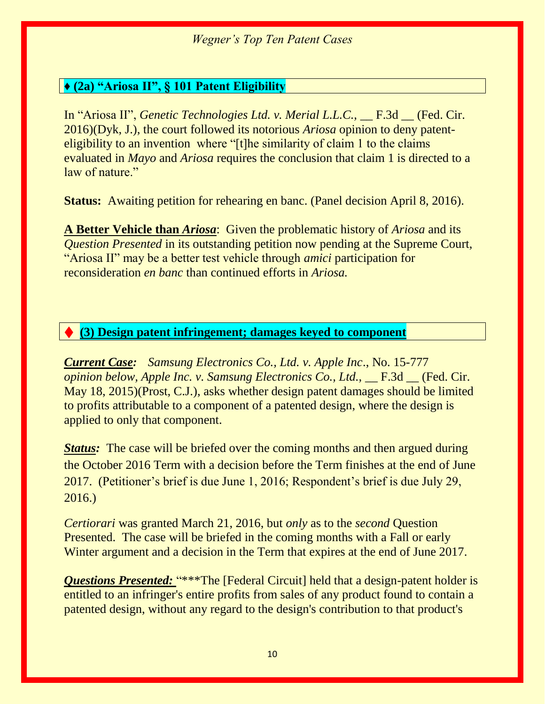#### **♦ (2a) "Ariosa II", § 101 Patent Eligibility**

In "Ariosa II", *Genetic Technologies Ltd. v. Merial L.L.C.*, <u>\_\_ F.3d</u> \_\_ (Fed. Cir. 2016)(Dyk, J.), the court followed its notorious *Ariosa* opinion to deny patenteligibility to an invention where "[t]he similarity of claim 1 to the claims evaluated in *Mayo* and *Ariosa* requires the conclusion that claim 1 is directed to a law of nature."

**Status:** Awaiting petition for rehearing en banc. (Panel decision April 8, 2016).

**A Better Vehicle than** *Ariosa*: Given the problematic history of *Ariosa* and its *Question Presented* in its outstanding petition now pending at the Supreme Court, "Ariosa II" may be a better test vehicle through *amici* participation for reconsideration *en banc* than continued efforts in *Ariosa.*

#### ♦ **(3) Design patent infringement; damages keyed to component**

*Current Case: Samsung Electronics Co., Ltd. v. Apple Inc*., No. 15-777 *opinion below, Apple Inc. v. Samsung Electronics Co., Ltd.,* F.3d (Fed. Cir. May 18, 2015)(Prost, C.J.), asks whether design patent damages should be limited to profits attributable to a component of a patented design, where the design is applied to only that component.

*Status:* The case will be briefed over the coming months and then argued during the October 2016 Term with a decision before the Term finishes at the end of June 2017. (Petitioner's brief is due June 1, 2016; Respondent's brief is due July 29, 2016.)

*Certiorari* was granted March 21, 2016, but *only* as to the *second* Question Presented. The case will be briefed in the coming months with a Fall or early Winter argument and a decision in the Term that expires at the end of June 2017.

**Questions Presented:** "\*\*\*The [Federal Circuit] held that a design-patent holder is entitled to an infringer's entire profits from sales of any product found to contain a patented design, without any regard to the design's contribution to that product's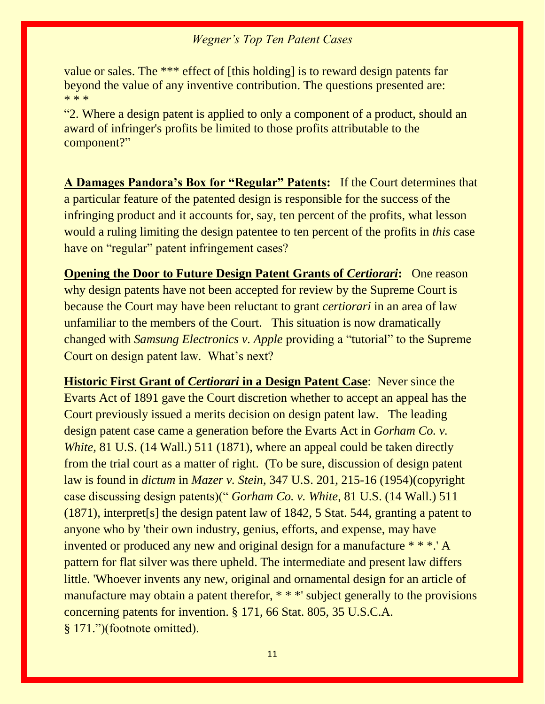value or sales. The \*\*\* effect of [this holding] is to reward design patents far beyond the value of any inventive contribution. The questions presented are: \* \* \*

"2. Where a design patent is applied to only a component of a product, should an award of infringer's profits be limited to those profits attributable to the component?"

**A Damages Pandora's Box for "Regular" Patents:** If the Court determines that a particular feature of the patented design is responsible for the success of the infringing product and it accounts for, say, ten percent of the profits, what lesson would a ruling limiting the design patentee to ten percent of the profits in *this* case have on "regular" patent infringement cases?

**Opening the Door to Future Design Patent Grants of** *Certiorari***: One reason** why design patents have not been accepted for review by the Supreme Court is because the Court may have been reluctant to grant *certiorari* in an area of law unfamiliar to the members of the Court. This situation is now dramatically changed with *Samsung Electronics v. Apple* providing a "tutorial" to the Supreme Court on design patent law. What's next?

**Historic First Grant of** *Certiorari* **in a Design Patent Case**: Never since the Evarts Act of 1891 gave the Court discretion whether to accept an appeal has the Court previously issued a merits decision on design patent law. The leading design patent case came a generation before the Evarts Act in *Gorham Co. v. White,* 81 U.S. (14 Wall.) 511 (1871), where an appeal could be taken directly from the trial court as a matter of right. (To be sure, discussion of design patent law is found in *dictum* in *Mazer v. Stein*, 347 U.S. 201, 215-16 (1954)(copyright case discussing design patents)(" *Gorham Co. v. White*, 81 U.S. (14 Wall.) 511 (1871), interpret[s] the design patent law of 1842, 5 Stat. 544, granting a patent to anyone who by 'their own industry, genius, efforts, and expense, may have invented or produced any new and original design for a manufacture \* \* \*.' A pattern for flat silver was there upheld. The intermediate and present law differs little. 'Whoever invents any new, original and ornamental design for an article of manufacture may obtain a patent therefor, \* \* \*' subject generally to the provisions concerning patents for invention. § 171, 66 Stat. 805, 35 U.S.C.A. § 171.")(footnote omitted).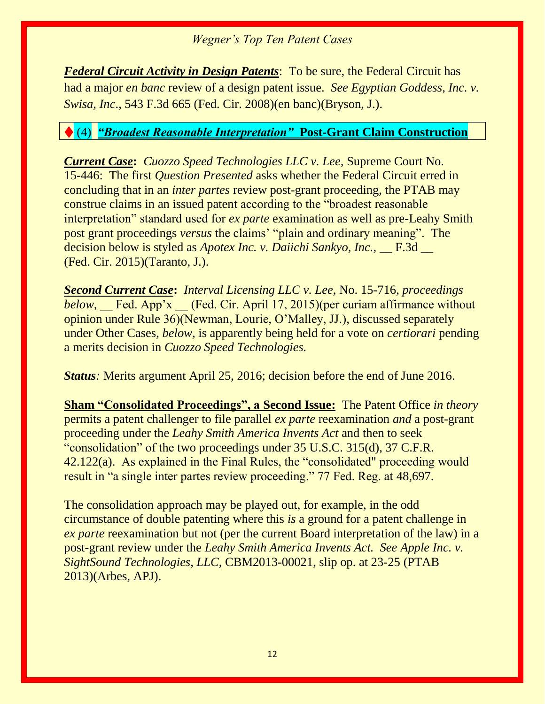*Federal Circuit Activity in Design Patents*: To be sure, the Federal Circuit has had a major *en banc* review of a design patent issue. *See Egyptian Goddess, Inc. v. Swisa, Inc*., 543 F.3d 665 (Fed. Cir. 2008)(en banc)(Bryson, J.).

# ♦ (4) *"Broadest Reasonable Interpretation"* **Post-Grant Claim Construction**

*Current Case***:** *Cuozzo Speed Technologies LLC v. Lee,* Supreme Court No. 15-446: The first *Question Presented* asks whether the Federal Circuit erred in concluding that in an *inter partes* review post-grant proceeding, the PTAB may construe claims in an issued patent according to the "broadest reasonable interpretation" standard used for *ex parte* examination as well as pre-Leahy Smith post grant proceedings *versus* the claims' "plain and ordinary meaning". The decision below is styled as *Apotex Inc. v. Daiichi Sankyo, Inc.*, \_\_ F.3d \_\_ (Fed. Cir. 2015)(Taranto, J.).

*Second Current Case***:** *Interval Licensing LLC v. Lee*, No. 15-716, *proceedings below,* \_\_ Fed. App'x \_\_ (Fed. Cir. April 17, 2015)(per curiam affirmance without opinion under Rule 36)(Newman, Lourie, O'Malley, JJ.), discussed separately under Other Cases, *below,* is apparently being held for a vote on *certiorari* pending a merits decision in *Cuozzo Speed Technologies.*

*Status:* Merits argument April 25, 2016; decision before the end of June 2016.

**Sham "Consolidated Proceedings", a Second Issue:** The Patent Office *in theory*  permits a patent challenger to file parallel *ex parte* reexamination *and* a post-grant proceeding under the *Leahy Smith America Invents Act* and then to seek "consolidation" of the two proceedings under 35 U.S.C. 315(d), 37 C.F.R. 42.122(a). As explained in the Final Rules, the "consolidated" proceeding would result in "a single inter partes review proceeding." 77 Fed. Reg. at 48,697.

The consolidation approach may be played out, for example, in the odd circumstance of double patenting where this *is* a ground for a patent challenge in *ex parte* reexamination but not (per the current Board interpretation of the law) in a post-grant review under the *Leahy Smith America Invents Act. See Apple Inc. v. SightSound Technologies, LLC,* CBM2013-00021, slip op. at 23-25 (PTAB 2013)(Arbes, APJ).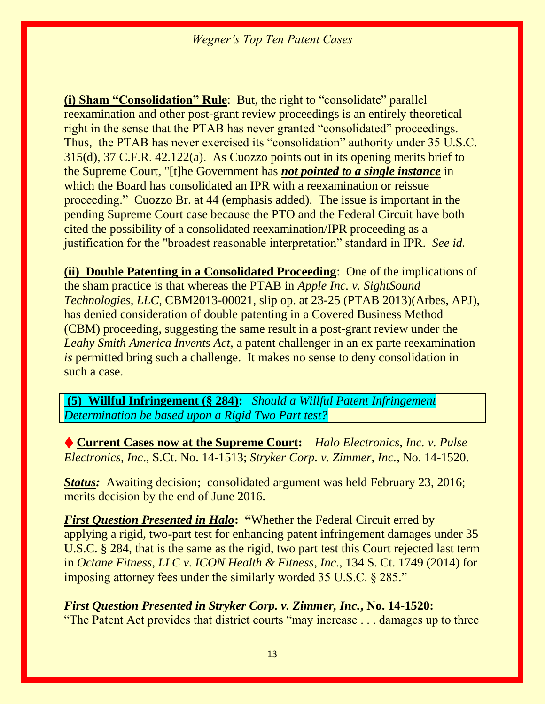**(i) Sham "Consolidation" Rule**: But, the right to "consolidate" parallel reexamination and other post-grant review proceedings is an entirely theoretical right in the sense that the PTAB has never granted "consolidated" proceedings. Thus, the PTAB has never exercised its "consolidation" authority under 35 U.S.C. 315(d), 37 C.F.R. 42.122(a). As Cuozzo points out in its opening merits brief to the Supreme Court, "[t]he Government has *not pointed to a single instance* in which the Board has consolidated an IPR with a reexamination or reissue proceeding." Cuozzo Br. at 44 (emphasis added). The issue is important in the pending Supreme Court case because the PTO and the Federal Circuit have both cited the possibility of a consolidated reexamination/IPR proceeding as a justification for the "broadest reasonable interpretation" standard in IPR. *See id.*

**(ii) Double Patenting in a Consolidated Proceeding**: One of the implications of the sham practice is that whereas the PTAB in *Apple Inc. v. SightSound Technologies, LLC,* CBM2013-00021, slip op. at 23-25 (PTAB 2013)(Arbes, APJ), has denied consideration of double patenting in a Covered Business Method (CBM) proceeding, suggesting the same result in a post-grant review under the *Leahy Smith America Invents Act,* a patent challenger in an ex parte reexamination *is* permitted bring such a challenge. It makes no sense to deny consolidation in such a case.

**(5)****Willful Infringement (§ 284):** *Should a Willful Patent Infringement Determination be based upon a Rigid Two Part test?*

♦ **Current Cases now at the Supreme Court:** *Halo Electronics, Inc. v. Pulse Electronics, Inc*., S.Ct. No. 14-1513; *Stryker Corp. v. Zimmer, Inc.*, No. 14-1520.

*Status:* Awaiting decision; consolidated argument was held February 23, 2016; merits decision by the end of June 2016.

*First Question Presented in Halo***: "**Whether the Federal Circuit erred by applying a rigid, two-part test for enhancing patent infringement damages under 35 U.S.C. § 284, that is the same as the rigid, two part test this Court rejected last term in *Octane Fitness, LLC v. ICON Health & Fitness, Inc.*, 134 S. Ct. 1749 (2014) for imposing attorney fees under the similarly worded 35 U.S.C. § 285."

#### *First Question Presented in Stryker Corp. v. Zimmer, Inc.***, No. 14-1520:**

"The Patent Act provides that district courts "may increase . . . damages up to three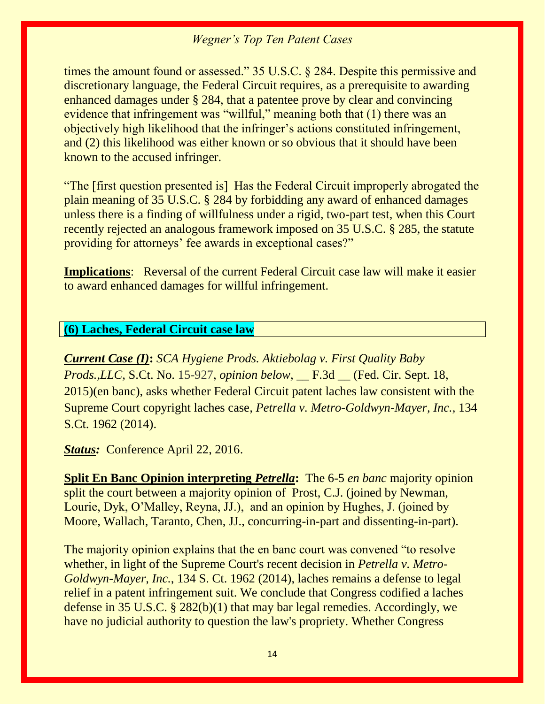times the amount found or assessed." 35 U.S.C. § 284. Despite this permissive and discretionary language, the Federal Circuit requires, as a prerequisite to awarding enhanced damages under § 284, that a patentee prove by clear and convincing evidence that infringement was "willful," meaning both that (1) there was an objectively high likelihood that the infringer's actions constituted infringement, and (2) this likelihood was either known or so obvious that it should have been known to the accused infringer.

"The [first question presented is] Has the Federal Circuit improperly abrogated the plain meaning of 35 U.S.C. § 284 by forbidding any award of enhanced damages unless there is a finding of willfulness under a rigid, two-part test, when this Court recently rejected an analogous framework imposed on 35 U.S.C. § 285, the statute providing for attorneys' fee awards in exceptional cases?"

**Implications:** Reversal of the current Federal Circuit case law will make it easier to award enhanced damages for willful infringement.

#### **(6) Laches, Federal Circuit case law**

*Current Case (I)***:** *SCA Hygiene Prods. Aktiebolag v. First Quality Baby Prods.,LLC,* S.Ct. No. 15-927, *opinion below,* \_\_ F.3d \_\_ (Fed. Cir. Sept. 18, 2015)(en banc), asks whether Federal Circuit patent laches law consistent with the Supreme Court copyright laches case*, Petrella v. Metro-Goldwyn-Mayer, Inc.,* 134 S.Ct. 1962 (2014).

**Status:** Conference April 22, 2016.

**Split En Banc Opinion interpreting** *Petrella***:** The 6-5 *en banc* majority opinion split the court between a majority opinion of Prost, C.J. (joined by Newman, Lourie, Dyk, O'Malley, Reyna, JJ.), and an opinion by Hughes, J. (joined by Moore, Wallach, Taranto, Chen, JJ., concurring-in-part and dissenting-in-part).

The majority opinion explains that the en banc court was convened "to resolve whether, in light of the Supreme Court's recent decision in *Petrella v. Metro-Goldwyn-Mayer, Inc.*, 134 S. Ct. 1962 (2014), laches remains a defense to legal relief in a patent infringement suit. We conclude that Congress codified a laches defense in 35 U.S.C. § 282(b)(1) that may bar legal remedies. Accordingly, we have no judicial authority to question the law's propriety. Whether Congress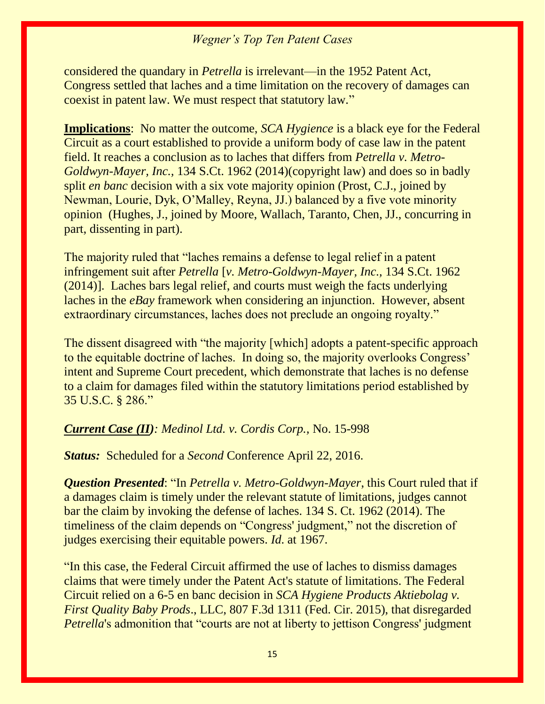considered the quandary in *Petrella* is irrelevant—in the 1952 Patent Act, Congress settled that laches and a time limitation on the recovery of damages can coexist in patent law. We must respect that statutory law."

**Implications**: No matter the outcome, *SCA Hygience* is a black eye for the Federal Circuit as a court established to provide a uniform body of case law in the patent field. It reaches a conclusion as to laches that differs from *Petrella v. Metro-Goldwyn-Mayer, Inc.,* 134 S.Ct. 1962 (2014)(copyright law) and does so in badly split *en banc* decision with a six vote majority opinion (Prost, C.J., joined by Newman, Lourie, Dyk, O'Malley, Reyna, JJ.) balanced by a five vote minority opinion (Hughes, J., joined by Moore, Wallach, Taranto, Chen, JJ., concurring in part, dissenting in part).

The majority ruled that "laches remains a defense to legal relief in a patent infringement suit after *Petrella* [*v. Metro-Goldwyn-Mayer, Inc.,* 134 S.Ct. 1962 (2014)]. Laches bars legal relief, and courts must weigh the facts underlying laches in the *eBay* framework when considering an injunction. However, absent extraordinary circumstances, laches does not preclude an ongoing royalty."

The dissent disagreed with "the majority [which] adopts a patent-specific approach to the equitable doctrine of laches. In doing so, the majority overlooks Congress' intent and Supreme Court precedent, which demonstrate that laches is no defense to a claim for damages filed within the statutory limitations period established by 35 U.S.C. § 286."

#### *Current Case (II): Medinol Ltd. v. Cordis Corp.,* No. 15-998

*Status:* Scheduled for a *Second* Conference April 22, 2016.

*Question Presented*: "In *Petrella v. Metro-Goldwyn-Mayer*, this Court ruled that if a damages claim is timely under the relevant statute of limitations, judges cannot bar the claim by invoking the defense of laches. 134 S. Ct. 1962 (2014). The timeliness of the claim depends on "Congress' judgment," not the discretion of judges exercising their equitable powers. *Id*. at 1967.

"In this case, the Federal Circuit affirmed the use of laches to dismiss damages claims that were timely under the Patent Act's statute of limitations. The Federal Circuit relied on a 6-5 en banc decision in *SCA Hygiene Products Aktiebolag v. First Quality Baby Prods*., LLC, 807 F.3d 1311 (Fed. Cir. 2015), that disregarded *Petrella*'s admonition that "courts are not at liberty to jettison Congress' judgment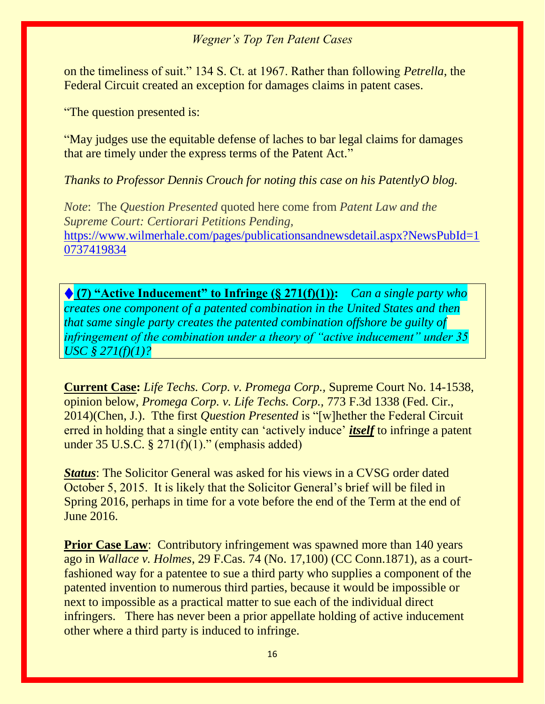on the timeliness of suit." 134 S. Ct. at 1967. Rather than following *Petrella*, the Federal Circuit created an exception for damages claims in patent cases.

"The question presented is:

"May judges use the equitable defense of laches to bar legal claims for damages that are timely under the express terms of the Patent Act."

*Thanks to Professor Dennis Crouch for noting this case on his PatentlyO blog.*

*Note*: The *Question Presented* quoted here come from *Patent Law and the Supreme Court: Certiorari Petitions Pending,*  [https://www.wilmerhale.com/pages/publicationsandnewsdetail.aspx?NewsPubId=1](https://www.wilmerhale.com/pages/publicationsandnewsdetail.aspx?NewsPubId=10737419834) [0737419834](https://www.wilmerhale.com/pages/publicationsandnewsdetail.aspx?NewsPubId=10737419834)

♦ **(7) "Active Inducement" to Infringe (§ 271(f)(1)):** *Can a single party who creates one component of a patented combination in the United States and then that same single party creates the patented combination offshore be guilty of infringement of the combination under a theory of "active inducement" under 35 USC § 271(f)(1)?*

**Current Case:** *Life Techs. Corp. v. Promega Corp.,* Supreme Court No. 14-1538, opinion below, *Promega Corp. v. Life Techs. Corp.,* 773 F.3d 1338 (Fed. Cir., 2014)(Chen, J.). Tthe first *Question Presented* is "[w]hether the Federal Circuit erred in holding that a single entity can 'actively induce' *itself* to infringe a patent under  $35 \text{ U.S.C.}$  §  $271(f)(1)$ ." (emphasis added)

*Status*: The Solicitor General was asked for his views in a CVSG order dated October 5, 2015. It is likely that the Solicitor General's brief will be filed in Spring 2016, perhaps in time for a vote before the end of the Term at the end of June 2016.

**Prior Case Law:** Contributory infringement was spawned more than 140 years ago in *Wallace v. Holmes*, 29 F.Cas. 74 (No. 17,100) (CC Conn.1871), as a courtfashioned way for a patentee to sue a third party who supplies a component of the patented invention to numerous third parties, because it would be impossible or next to impossible as a practical matter to sue each of the individual direct infringers. There has never been a prior appellate holding of active inducement other where a third party is induced to infringe.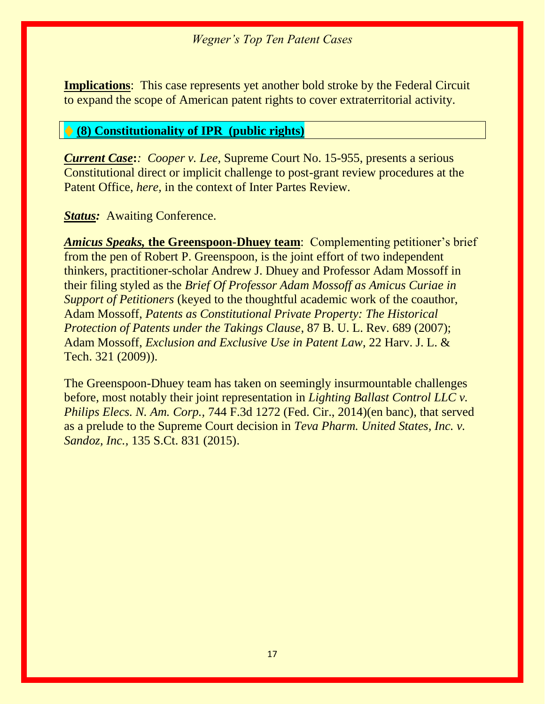**Implications**: This case represents yet another bold stroke by the Federal Circuit to expand the scope of American patent rights to cover extraterritorial activity.

#### ♦ **(8) Constitutionality of IPR (public rights)**

*Current Case***:***: Cooper v. Lee,* Supreme Court No. 15-955, presents a serious Constitutional direct or implicit challenge to post-grant review procedures at the Patent Office, *here,* in the context of Inter Partes Review.

*Status:* Awaiting Conference.

*Amicus Speaks,* **the Greenspoon-Dhuey team**: Complementing petitioner's brief from the pen of Robert P. Greenspoon, is the joint effort of two independent thinkers, practitioner-scholar Andrew J. Dhuey and Professor Adam Mossoff in their filing styled as the *Brief Of Professor Adam Mossoff as Amicus Curiae in Support of Petitioners* (keyed to the thoughtful academic work of the coauthor, Adam Mossoff, *Patents as Constitutional Private Property: The Historical Protection of Patents under the Takings Clause*, 87 B. U. L. Rev. 689 (2007); Adam Mossoff, *Exclusion and Exclusive Use in Patent Law*, 22 Harv. J. L. & Tech. 321 (2009)).

The Greenspoon-Dhuey team has taken on seemingly insurmountable challenges before, most notably their joint representation in *Lighting Ballast Control LLC v. Philips Elecs. N. Am. Corp.,* 744 F.3d 1272 (Fed. Cir., 2014)(en banc), that served as a prelude to the Supreme Court decision in *Teva Pharm. United States, Inc. v. Sandoz, Inc.,* 135 S.Ct. 831 (2015).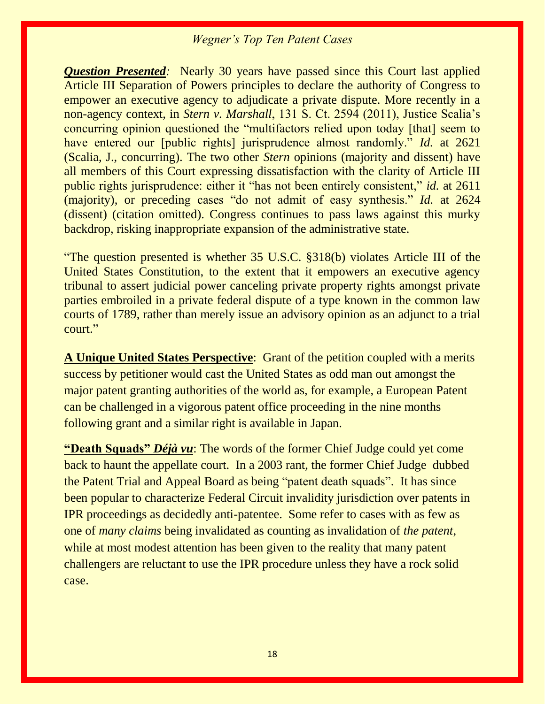*Question Presented:* Nearly 30 years have passed since this Court last applied Article III Separation of Powers principles to declare the authority of Congress to empower an executive agency to adjudicate a private dispute. More recently in a non-agency context, in *Stern v. Marshall*, 131 S. Ct. 2594 (2011), Justice Scalia's concurring opinion questioned the "multifactors relied upon today [that] seem to have entered our [public rights] jurisprudence almost randomly." *Id.* at 2621 (Scalia, J., concurring). The two other *Stern* opinions (majority and dissent) have all members of this Court expressing dissatisfaction with the clarity of Article III public rights jurisprudence: either it "has not been entirely consistent," *id.* at 2611 (majority), or preceding cases "do not admit of easy synthesis." *Id.* at 2624 (dissent) (citation omitted). Congress continues to pass laws against this murky backdrop, risking inappropriate expansion of the administrative state.

"The question presented is whether 35 U.S.C. §318(b) violates Article III of the United States Constitution, to the extent that it empowers an executive agency tribunal to assert judicial power canceling private property rights amongst private parties embroiled in a private federal dispute of a type known in the common law courts of 1789, rather than merely issue an advisory opinion as an adjunct to a trial court."

**A Unique United States Perspective**: Grant of the petition coupled with a merits success by petitioner would cast the United States as odd man out amongst the major patent granting authorities of the world as, for example, a European Patent can be challenged in a vigorous patent office proceeding in the nine months following grant and a similar right is available in Japan.

**"Death Squads"** *Déjà vu*: The words of the former Chief Judge could yet come back to haunt the appellate court. In a 2003 rant, the former Chief Judge dubbed the Patent Trial and Appeal Board as being "patent death squads". It has since been popular to characterize Federal Circuit invalidity jurisdiction over patents in IPR proceedings as decidedly anti-patentee. Some refer to cases with as few as one of *many claims* being invalidated as counting as invalidation of *the patent*, while at most modest attention has been given to the reality that many patent challengers are reluctant to use the IPR procedure unless they have a rock solid case.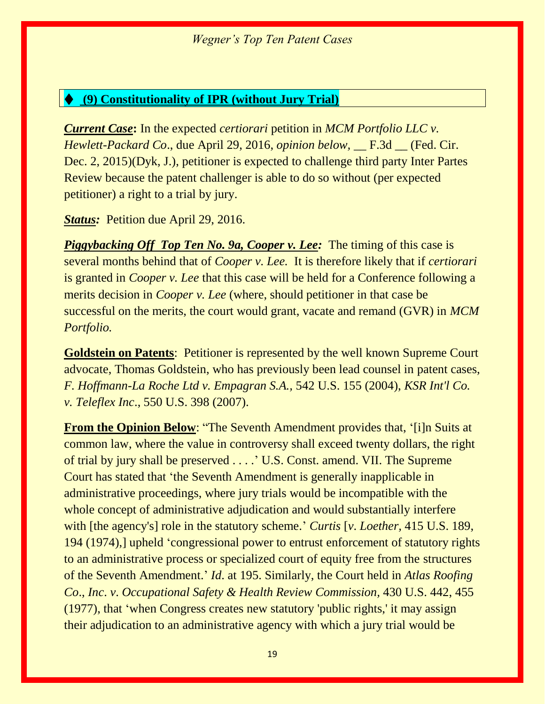#### ♦ **(9) Constitutionality of IPR (without Jury Trial)**

*Current Case***:** In the expected *certiorari* petition in *MCM Portfolio LLC v. Hewlett-Packard Co., due April 29, 2016, <i>opinion below,* \_\_ F.3d \_\_ (Fed. Cir. Dec. 2, 2015)(Dyk, J.), petitioner is expected to challenge third party Inter Partes Review because the patent challenger is able to do so without (per expected petitioner) a right to a trial by jury.

*Status:* Petition due April 29, 2016.

*Piggybacking Off Top Ten No. 9a, Cooper v. Lee:* The timing of this case is several months behind that of *Cooper v. Lee.* It is therefore likely that if *certiorari*  is granted in *Cooper v. Lee* that this case will be held for a Conference following a merits decision in *Cooper v. Lee* (where, should petitioner in that case be successful on the merits, the court would grant, vacate and remand (GVR) in *MCM Portfolio.*

**Goldstein on Patents**: Petitioner is represented by the well known Supreme Court advocate, Thomas Goldstein, who has previously been lead counsel in patent cases, *F. Hoffmann-La Roche Ltd v. Empagran S.A.,* 542 U.S. 155 (2004), *KSR Int'l Co. v. Teleflex Inc*., 550 U.S. 398 (2007).

**From the Opinion Below:** "The Seventh Amendment provides that, '[i]n Suits at common law, where the value in controversy shall exceed twenty dollars, the right of trial by jury shall be preserved . . . .' U.S. Const. amend. VII. The Supreme Court has stated that 'the Seventh Amendment is generally inapplicable in administrative proceedings, where jury trials would be incompatible with the whole concept of administrative adjudication and would substantially interfere with [the agency's] role in the statutory scheme.' *Curtis* [*v*. *Loether,* 415 U.S. 189, 194 (1974),] upheld 'congressional power to entrust enforcement of statutory rights to an administrative process or specialized court of equity free from the structures of the Seventh Amendment.' *Id*. at 195. Similarly, the Court held in *Atlas Roofing Co*., *Inc*. *v*. *Occupational Safety & Health Review Commission,* 430 U.S. 442, 455 (1977), that 'when Congress creates new statutory 'public rights,' it may assign their adjudication to an administrative agency with which a jury trial would be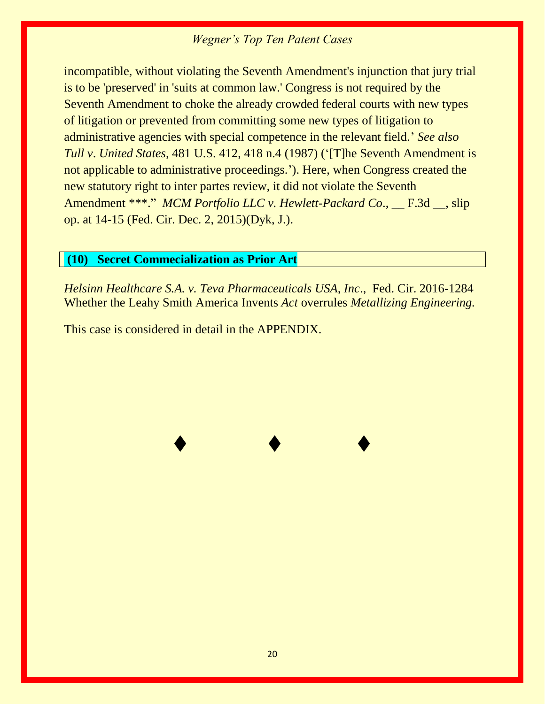incompatible, without violating the Seventh Amendment's injunction that jury trial is to be 'preserved' in 'suits at common law.' Congress is not required by the Seventh Amendment to choke the already crowded federal courts with new types of litigation or prevented from committing some new types of litigation to administrative agencies with special competence in the relevant field.' *See also Tull v*. *United States,* 481 U.S. 412, 418 n.4 (1987) ('[T]he Seventh Amendment is not applicable to administrative proceedings.'). Here, when Congress created the new statutory right to inter partes review, it did not violate the Seventh Amendment \*\*\*." *MCM Portfolio LLC v. Hewlett-Packard Co.*, \_\_ F.3d \_\_, slip op. at 14-15 (Fed. Cir. Dec. 2, 2015)(Dyk, J.).

#### **(10) Secret Commecialization as Prior Art**

*Helsinn Healthcare S.A. v. Teva Pharmaceuticals USA, Inc*., Fed. Cir. 2016-1284 Whether the Leahy Smith America Invents *Act* overrules *Metallizing Engineering.*

♦ ♦ ♦

This case is considered in detail in the APPENDIX.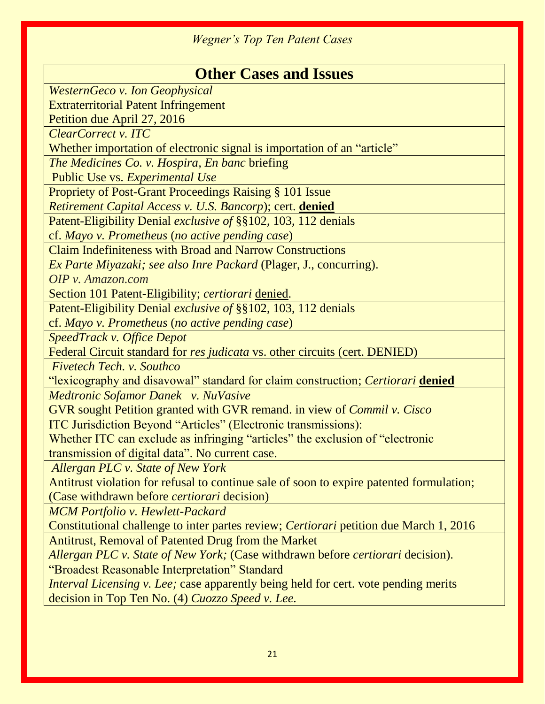| <b>Other Cases and Issues</b>                                                            |
|------------------------------------------------------------------------------------------|
| <b>WesternGeco v. Ion Geophysical</b>                                                    |
| <b>Extraterritorial Patent Infringement</b>                                              |
| Petition due April 27, 2016                                                              |
| <b>ClearCorrect v. ITC</b>                                                               |
| Whether importation of electronic signal is importation of an "article"                  |
| The Medicines Co. v. Hospira, En banc briefing                                           |
| Public Use vs. Experimental Use                                                          |
| <b>Propriety of Post-Grant Proceedings Raising § 101 Issue</b>                           |
| Retirement Capital Access v. U.S. Bancorp); cert. denied                                 |
| Patent-Eligibility Denial exclusive of §§102, 103, 112 denials                           |
| cf. Mayo v. Prometheus (no active pending case)                                          |
| <b>Claim Indefiniteness with Broad and Narrow Constructions</b>                          |
| <i>Ex Parte Miyazaki; see also Inre Packard (Plager, J., concurring).</i>                |
| OIP v. Amazon.com                                                                        |
| Section 101 Patent-Eligibility; certiorari denied.                                       |
| Patent-Eligibility Denial exclusive of §§102, 103, 112 denials                           |
| cf. Mayo v. Prometheus (no active pending case)                                          |
| <b>SpeedTrack v. Office Depot</b>                                                        |
| Federal Circuit standard for res judicata vs. other circuits (cert. DENIED)              |
| Fivetech Tech. v. Southco                                                                |
| "lexicography and disavowal" standard for claim construction; Certiorari denied          |
| Medtronic Sofamor Danek v. NuVasive                                                      |
| GVR sought Petition granted with GVR remand. in view of <i>Commil v. Cisco</i>           |
| ITC Jurisdiction Beyond "Articles" (Electronic transmissions):                           |
| Whether ITC can exclude as infringing "articles" the exclusion of "electronic            |
| transmission of digital data". No current case.                                          |
| Allergan PLC v. State of New York                                                        |
| Antitrust violation for refusal to continue sale of soon to expire patented formulation; |
| (Case withdrawn before <i>certiorari</i> decision)                                       |
| <b>MCM Portfolio v. Hewlett-Packard</b>                                                  |
| Constitutional challenge to inter partes review; Certiorari petition due March 1, 2016   |
| Antitrust, Removal of Patented Drug from the Market                                      |
| Allergan PLC v. State of New York; (Case withdrawn before certiorari decision).          |
| "Broadest Reasonable Interpretation" Standard                                            |
| Interval Licensing v. Lee; case apparently being held for cert. vote pending merits      |
| decision in Top Ten No. (4) Cuozzo Speed v. Lee.                                         |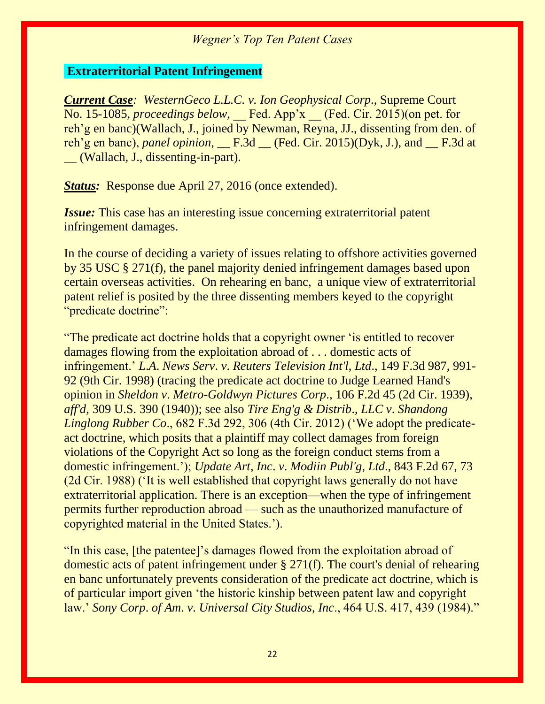#### **Extraterritorial Patent Infringement**

*Current Case: WesternGeco L.L.C. v. Ion Geophysical Corp*., Supreme Court No. 15-1085, *proceedings below*, Fed. App'x (Fed. Cir. 2015)(on pet. for reh'g en banc)(Wallach, J., joined by Newman, Reyna, JJ., dissenting from den. of reh'g en banc), *panel opinion,* \_\_ F.3d \_\_ (Fed. Cir. 2015)(Dyk, J.), and \_\_ F.3d at \_\_ (Wallach, J., dissenting-in-part).

*Status:* Response due April 27, 2016 (once extended).

*Issue:* This case has an interesting issue concerning extraterritorial patent infringement damages.

In the course of deciding a variety of issues relating to offshore activities governed by 35 USC § 271(f), the panel majority denied infringement damages based upon certain overseas activities. On rehearing en banc, a unique view of extraterritorial patent relief is posited by the three dissenting members keyed to the copyright "predicate doctrine":

"The predicate act doctrine holds that a copyright owner 'is entitled to recover damages flowing from the exploitation abroad of . . . domestic acts of infringement.' *L*.*A*. *News Serv*. *v*. *Reuters Television Int'l*, *Ltd*., 149 F.3d 987, 991- 92 (9th Cir. 1998) (tracing the predicate act doctrine to Judge Learned Hand's opinion in *Sheldon v*. *Metro-Goldwyn Pictures Corp*., 106 F.2d 45 (2d Cir. 1939), *aff'd*, 309 U.S. 390 (1940)); see also *Tire Eng'g & Distrib*., *LLC v*. *Shandong Linglong Rubber Co*., 682 F.3d 292, 306 (4th Cir. 2012) ('We adopt the predicateact doctrine, which posits that a plaintiff may collect damages from foreign violations of the Copyright Act so long as the foreign conduct stems from a domestic infringement.'); *Update Art*, *Inc*. *v*. *Modiin Publ'g*, *Ltd*., 843 F.2d 67, 73 (2d Cir. 1988) ('It is well established that copyright laws generally do not have extraterritorial application. There is an exception—when the type of infringement permits further reproduction abroad — such as the unauthorized manufacture of copyrighted material in the United States.').

"In this case, [the patentee]'s damages flowed from the exploitation abroad of domestic acts of patent infringement under § 271(f). The court's denial of rehearing en banc unfortunately prevents consideration of the predicate act doctrine, which is of particular import given 'the historic kinship between patent law and copyright law.' *Sony Corp*. *of Am*. *v*. *Universal City Studios*, *Inc*., 464 U.S. 417, 439 (1984)."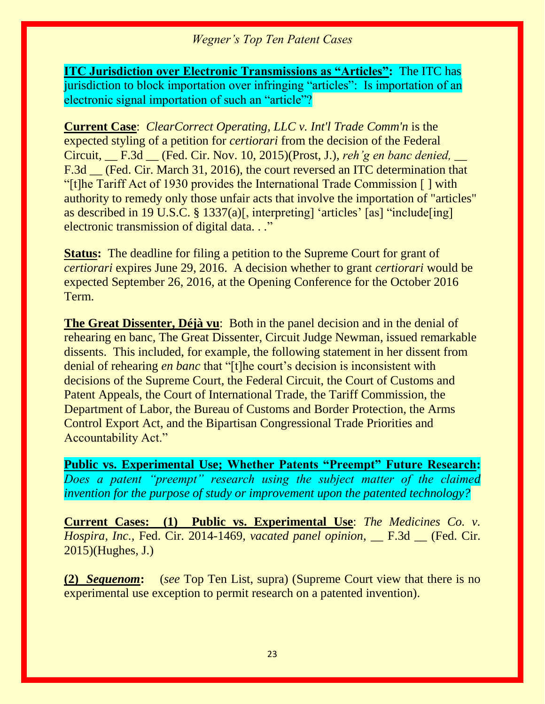**ITC Jurisdiction over Electronic Transmissions as "Articles":** The ITC has jurisdiction to block importation over infringing "articles": Is importation of an electronic signal importation of such an "article"?

**Current Case**: *ClearCorrect Operating, LLC v. Int'l Trade Comm'n* is the expected styling of a petition for *certiorari* from the decision of the Federal Circuit, \_\_ F.3d \_\_ (Fed. Cir. Nov. 10, 2015)(Prost, J.), *reh'g en banc denied,* \_\_ F.3d \_\_ (Fed. Cir. March 31, 2016), the court reversed an ITC determination that "[t]he Tariff Act of 1930 provides the International Trade Commission [ ] with authority to remedy only those unfair acts that involve the importation of "articles" as described in 19 U.S.C. § 1337(a)[, interpreting] 'articles' [as] "include[ing] electronic transmission of digital data. . ."

**Status:** The deadline for filing a petition to the Supreme Court for grant of *certiorari* expires June 29, 2016. A decision whether to grant *certiorari* would be expected September 26, 2016, at the Opening Conference for the October 2016 Term.

**The Great Dissenter, Déjà vu**: Both in the panel decision and in the denial of rehearing en banc, The Great Dissenter, Circuit Judge Newman, issued remarkable dissents. This included, for example, the following statement in her dissent from denial of rehearing *en banc* that "[t]he court's decision is inconsistent with decisions of the Supreme Court, the Federal Circuit, the Court of Customs and Patent Appeals, the Court of International Trade, the Tariff Commission, the Department of Labor, the Bureau of Customs and Border Protection, the Arms Control Export Act, and the Bipartisan Congressional Trade Priorities and Accountability Act."

**Public vs. Experimental Use; Whether Patents "Preempt" Future Research:**  *Does a patent "preempt" research using the subject matter of the claimed invention for the purpose of study or improvement upon the patented technology?*

**Current Cases: (1) Public vs. Experimental Use**: *The Medicines Co. v. Hospira, Inc.,* Fed. Cir. 2014-1469, *vacated panel opinion,* \_\_ F.3d \_\_ (Fed. Cir. 2015)(Hughes, J.)

**(2)** *Sequenom***:** (*see* Top Ten List, supra) (Supreme Court view that there is no experimental use exception to permit research on a patented invention).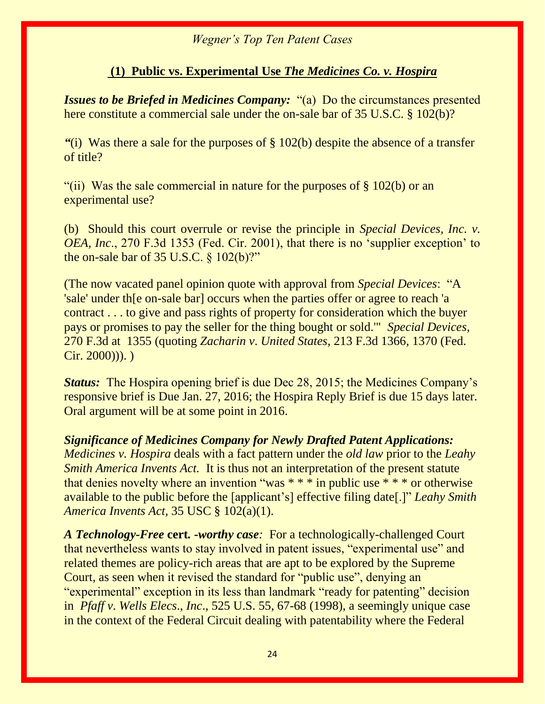#### **(1) Public vs. Experimental Use** *The Medicines Co. v. Hospira*

*Issues to be Briefed in Medicines Company:* "(a) Do the circumstances presented here constitute a commercial sale under the on-sale bar of 35 U.S.C. § 102(b)?

*"*(i) Was there a sale for the purposes of § 102(b) despite the absence of a transfer of title?

"(ii) Was the sale commercial in nature for the purposes of  $\S$  102(b) or an experimental use?

(b) Should this court overrule or revise the principle in *Special Devices, Inc. v. OEA, Inc*., 270 F.3d 1353 (Fed. Cir. 2001), that there is no 'supplier exception' to the on-sale bar of 35 U.S.C. § 102(b)?"

(The now vacated panel opinion quote with approval from *Special Devices*: "A 'sale' under th[e on-sale bar] occurs when the parties offer or agree to reach 'a contract . . . to give and pass rights of property for consideration which the buyer pays or promises to pay the seller for the thing bought or sold.'" *Special Devices,*  270 F.3d at 1355 (quoting *Zacharin v*. *United States,* 213 F.3d 1366, 1370 (Fed.  $Cir. 2000))$ .

*Status:* The Hospira opening brief is due Dec 28, 2015; the Medicines Company's responsive brief is Due Jan. 27, 2016; the Hospira Reply Brief is due 15 days later. Oral argument will be at some point in 2016.

*Significance of Medicines Company for Newly Drafted Patent Applications: Medicines v. Hospira* deals with a fact pattern under the *old law* prior to the *Leahy Smith America Invents Act.* It is thus not an interpretation of the present statute that denies novelty where an invention "was  $***$  in public use  $***$  or otherwise available to the public before the [applicant's] effective filing date[.]" *Leahy Smith America Invents Act,* 35 USC § 102(a)(1).

*A Technology-Free* **cert***. -worthy case:* For a technologically-challenged Court that nevertheless wants to stay involved in patent issues, "experimental use" and related themes are policy-rich areas that are apt to be explored by the Supreme Court, as seen when it revised the standard for "public use", denying an "experimental" exception in its less than landmark "ready for patenting" decision in *Pfaff v*. *Wells Elecs*., *Inc*., 525 U.S. 55, 67-68 (1998), a seemingly unique case in the context of the Federal Circuit dealing with patentability where the Federal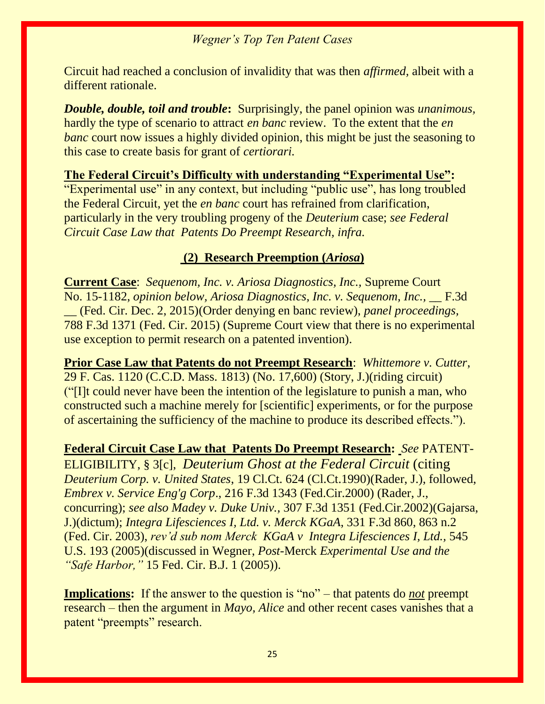Circuit had reached a conclusion of invalidity that was then *affirmed,* albeit with a different rationale.

*Double, double, toil and trouble***:** Surprisingly, the panel opinion was *unanimous,*  hardly the type of scenario to attract *en banc* review. To the extent that the *en banc* court now issues a highly divided opinion, this might be just the seasoning to this case to create basis for grant of *certiorari.*

#### **The Federal Circuit's Difficulty with understanding "Experimental Use":**

"Experimental use" in any context, but including "public use", has long troubled the Federal Circuit, yet the *en banc* court has refrained from clarification, particularly in the very troubling progeny of the *Deuterium* case; *see Federal Circuit Case Law that Patents Do Preempt Research, infra.*

#### **(2) Research Preemption (***Ariosa***)**

**Current Case**: *Sequenom, Inc. v. Ariosa Diagnostics, Inc.,* Supreme Court No. 15-1182, *opinion below, Ariosa Diagnostics, Inc. v. Sequenom, Inc.,* \_\_ F.3d \_\_ (Fed. Cir. Dec. 2, 2015)(Order denying en banc review), *panel proceedings,*  788 F.3d 1371 (Fed. Cir. 2015) (Supreme Court view that there is no experimental use exception to permit research on a patented invention).

**Prior Case Law that Patents do not Preempt Research**: *Whittemore v. Cutter*, [29 F. Cas. 1120 \(C.C.D. Mass. 1813\)](http://web2.westlaw.com/find/default.wl?mt=208&db=349&tc=-1&rp=%2ffind%2fdefault.wl&findtype=Y&ordoc=0327141183&serialnum=1800139587&vr=2.0&fn=_top&sv=Split&tf=-1&pbc=1CB7E4D8&rs=WLW12.10) (No. 17,600) (Story, J.)(riding circuit) ("[I]t could never have been the intention of the legislature to punish a man, who constructed such a machine merely for [scientific] experiments, or for the purpose of ascertaining the sufficiency of the machine to produce its described effects.").

#### **Federal Circuit Case Law that Patents Do Preempt Research:** *See* PATENT-

ELIGIBILITY, § 3[c], *Deuterium Ghost at the Federal Circuit* (citing *Deuterium Corp. v. United States*, 19 Cl.Ct. 624 (Cl.Ct.1990)(Rader, J.), followed, *Embrex v. Service Eng'g Corp*., 216 F.3d 1343 (Fed.Cir.2000) (Rader, J., concurring); *see also Madey v. Duke Univ.,* 307 F.3d 1351 (Fed.Cir.2002)(Gajarsa, J.)(dictum); *Integra Lifesciences I, Ltd. v. Merck KGaA*, 331 F.3d 860, 863 n.2 (Fed. Cir. 2003), *rev'd sub nom Merck KGaA v Integra Lifesciences I, Ltd.,* 545 U.S. 193 (2005)(discussed in Wegner, *Post*-Merck *Experimental Use and the "Safe Harbor,"* 15 Fed. Cir. B.J. 1 (2005)).

**Implications:** If the answer to the question is "no" – that patents do *not* preempt research – then the argument in *Mayo, Alice* and other recent cases vanishes that a patent "preempts" research.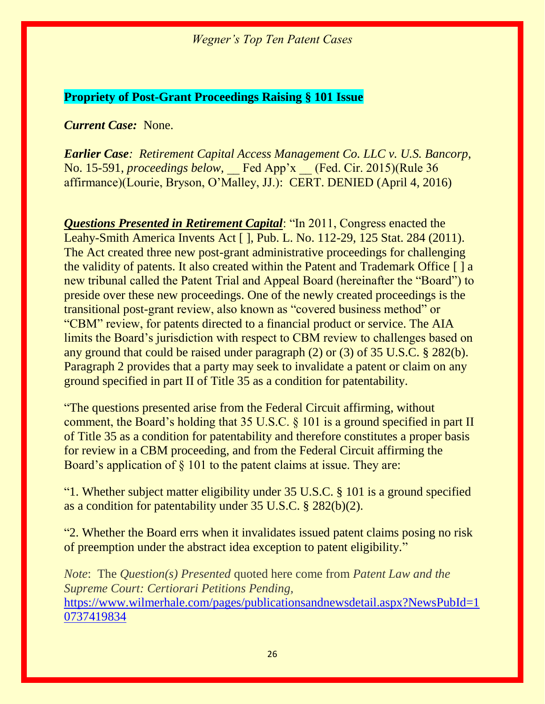#### **Propriety of Post-Grant Proceedings Raising § 101 Issue**

#### *Current Case:* None.

*Earlier Case: Retirement Capital Access Management Co. LLC v. U.S. Bancorp*, No. 15-591, *proceedings below*, Fed App'x (Fed. Cir. 2015)(Rule 36 affirmance)(Lourie, Bryson, O'Malley, JJ.): CERT. DENIED (April 4, 2016)

*Questions Presented in Retirement Capital*: "In 2011, Congress enacted the Leahy-Smith America Invents Act [ ], Pub. L. No. 112-29, 125 Stat. 284 (2011). The Act created three new post-grant administrative proceedings for challenging the validity of patents. It also created within the Patent and Trademark Office [ ] a new tribunal called the Patent Trial and Appeal Board (hereinafter the "Board") to preside over these new proceedings. One of the newly created proceedings is the transitional post-grant review, also known as "covered business method" or "CBM" review, for patents directed to a financial product or service. The AIA limits the Board's jurisdiction with respect to CBM review to challenges based on any ground that could be raised under paragraph (2) or (3) of 35 U.S.C. § 282(b). Paragraph 2 provides that a party may seek to invalidate a patent or claim on any ground specified in part II of Title 35 as a condition for patentability.

"The questions presented arise from the Federal Circuit affirming, without comment, the Board's holding that 35 U.S.C. § 101 is a ground specified in part II of Title 35 as a condition for patentability and therefore constitutes a proper basis for review in a CBM proceeding, and from the Federal Circuit affirming the Board's application of § 101 to the patent claims at issue. They are:

"1. Whether subject matter eligibility under 35 U.S.C. § 101 is a ground specified as a condition for patentability under 35 U.S.C. § 282(b)(2).

"2. Whether the Board errs when it invalidates issued patent claims posing no risk of preemption under the abstract idea exception to patent eligibility."

*Note*: The *Question(s) Presented* quoted here come from *Patent Law and the Supreme Court: Certiorari Petitions Pending,*  [https://www.wilmerhale.com/pages/publicationsandnewsdetail.aspx?NewsPubId=1](https://www.wilmerhale.com/pages/publicationsandnewsdetail.aspx?NewsPubId=10737419834) [0737419834](https://www.wilmerhale.com/pages/publicationsandnewsdetail.aspx?NewsPubId=10737419834)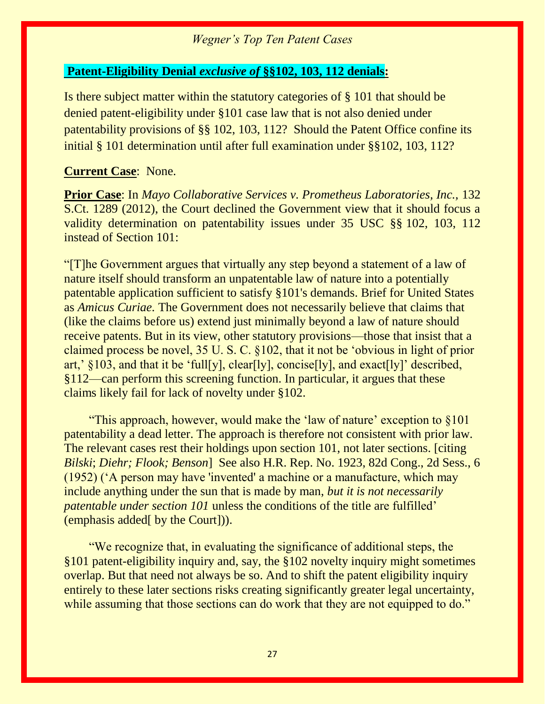#### **Patent-Eligibility Denial** *exclusive of* **§§102, 103, 112 denials:**

Is there subject matter within the statutory categories of § 101 that should be denied patent-eligibility under §101 case law that is not also denied under patentability provisions of §§ 102, 103, 112? Should the Patent Office confine its initial § 101 determination until after full examination under §§102, 103, 112?

#### **Current Case**: None.

**Prior Case**: In *Mayo Collaborative Services v. Prometheus Laboratories, Inc.,* 132 S.Ct. 1289 (2012), the Court declined the Government view that it should focus a validity determination on patentability issues under 35 USC §§ 102, 103, 112 instead of Section 101:

"[T]he Government argues that virtually any step beyond a statement of a law of nature itself should transform an unpatentable law of nature into a potentially patentable application sufficient to satisfy §101's demands. Brief for United States as *Amicus Curiae.* The Government does not necessarily believe that claims that (like the claims before us) extend just minimally beyond a law of nature should receive patents. But in its view, other statutory provisions—those that insist that a claimed process be novel, 35 U. S. C. §102, that it not be 'obvious in light of prior art,'  $\S 103$ , and that it be 'full[y], clear[ly], concise[ly], and exact[ly]' described, §112—can perform this screening function. In particular, it argues that these claims likely fail for lack of novelty under §102.

 "This approach, however, would make the 'law of nature' exception to §101 patentability a dead letter. The approach is therefore not consistent with prior law. The relevant cases rest their holdings upon section 101, not later sections. [citing *Bilski*; *Diehr; Flook; Benson*] See also H.R. Rep. No. 1923, 82d Cong., 2d Sess., 6 (1952) ('A person may have 'invented' a machine or a manufacture, which may include anything under the sun that is made by man, *but it is not necessarily patentable under section 101* unless the conditions of the title are fulfilled' (emphasis added[ by the Court])).

 "We recognize that, in evaluating the significance of additional steps, the §101 patent-eligibility inquiry and, say, the §102 novelty inquiry might sometimes overlap. But that need not always be so. And to shift the patent eligibility inquiry entirely to these later sections risks creating significantly greater legal uncertainty, while assuming that those sections can do work that they are not equipped to do."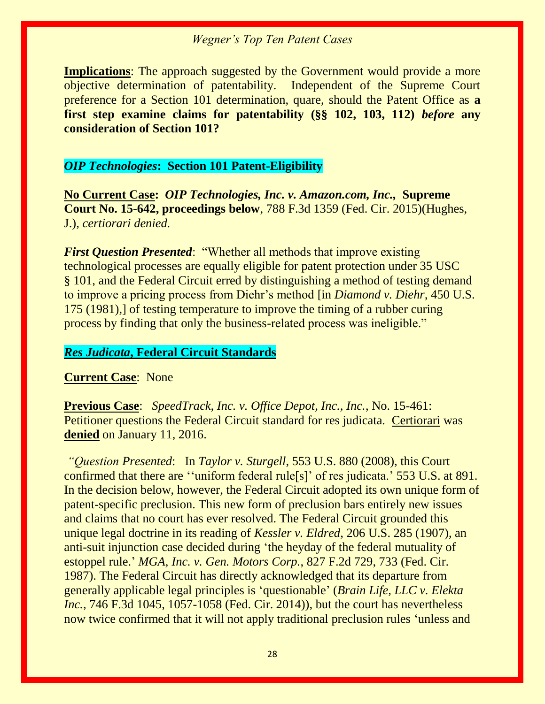**Implications**: The approach suggested by the Government would provide a more objective determination of patentability. Independent of the Supreme Court preference for a Section 101 determination, quare, should the Patent Office as **a first step examine claims for patentability (§§ 102, 103, 112)** *before* **any consideration of Section 101?**

#### *OIP Technologies***: Section 101 Patent-Eligibility**

**No Current Case:** *OIP Technologies, Inc. v. Amazon.com, Inc.,* **Supreme Court No. 15-642, proceedings below**, 788 F.3d 1359 (Fed. Cir. 2015)(Hughes, J.), *certiorari denied.*

*First Question Presented*: "Whether all methods that improve existing technological processes are equally eligible for patent protection under 35 USC § 101, and the Federal Circuit erred by distinguishing a method of testing demand to improve a pricing process from Diehr's method [in *Diamond v. Diehr,* 450 U.S. 175 (1981),] of testing temperature to improve the timing of a rubber curing process by finding that only the business-related process was ineligible."

#### *Res Judicata***, Federal Circuit Standards**

#### **Current Case**: None

**Previous Case**: *SpeedTrack, Inc. v. Office Depot, Inc., Inc.*, No. 15-461: Petitioner questions the Federal Circuit standard for res judicata. Certiorari was **denied** on January 11, 2016.

*"Question Presented*: In *Taylor v. Sturgell*, 553 U.S. 880 (2008), this Court confirmed that there are ''uniform federal rule[s]' of res judicata.' 553 U.S. at 891. In the decision below, however, the Federal Circuit adopted its own unique form of patent-specific preclusion. This new form of preclusion bars entirely new issues and claims that no court has ever resolved. The Federal Circuit grounded this unique legal doctrine in its reading of *Kessler v. Eldred*, 206 U.S. 285 (1907), an anti-suit injunction case decided during 'the heyday of the federal mutuality of estoppel rule.' *MGA, Inc. v. Gen. Motors Corp.*, 827 F.2d 729, 733 (Fed. Cir. 1987). The Federal Circuit has directly acknowledged that its departure from generally applicable legal principles is 'questionable' (*Brain Life, LLC v. Elekta Inc.*, 746 F.3d 1045, 1057-1058 (Fed. Cir. 2014)), but the court has nevertheless now twice confirmed that it will not apply traditional preclusion rules 'unless and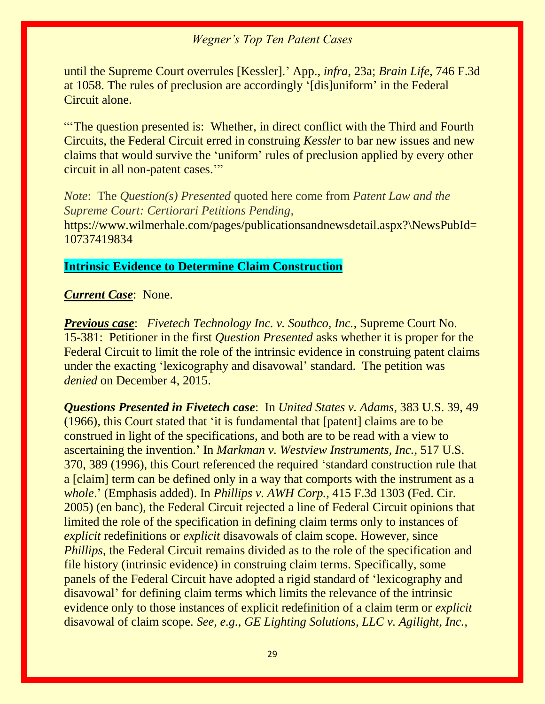until the Supreme Court overrules [Kessler].' App., *infra*, 23a; *Brain Life*, 746 F.3d at 1058. The rules of preclusion are accordingly '[dis]uniform' in the Federal Circuit alone.

"'The question presented is: Whether, in direct conflict with the Third and Fourth Circuits, the Federal Circuit erred in construing *Kessler* to bar new issues and new claims that would survive the 'uniform' rules of preclusion applied by every other circuit in all non-patent cases.'"

*Note*: The *Question(s) Presented* quoted here come from *Patent Law and the Supreme Court: Certiorari Petitions Pending,* 

https://www.wilmerhale.com/pages/publicationsandnewsdetail.aspx?\NewsPubId= 10737419834

#### **Intrinsic Evidence to Determine Claim Construction**

#### *Current Case*: None.

*Previous case*: *Fivetech Technology Inc. v. Southco, Inc.*, Supreme Court No. 15-381: Petitioner in the first *Question Presented* asks whether it is proper for the Federal Circuit to limit the role of the intrinsic evidence in construing patent claims under the exacting 'lexicography and disavowal' standard. The petition was *denied* on December 4, 2015.

*Questions Presented in Fivetech case*: In *United States v. Adams*, 383 U.S. 39, 49 (1966), this Court stated that 'it is fundamental that [patent] claims are to be construed in light of the specifications, and both are to be read with a view to ascertaining the invention.' In *Markman v. Westview Instruments, Inc.*, 517 U.S. 370, 389 (1996), this Court referenced the required 'standard construction rule that a [claim] term can be defined only in a way that comports with the instrument as a *whole*.' (Emphasis added). In *Phillips v. AWH Corp.*, 415 F.3d 1303 (Fed. Cir. 2005) (en banc), the Federal Circuit rejected a line of Federal Circuit opinions that limited the role of the specification in defining claim terms only to instances of *explicit* redefinitions or *explicit* disavowals of claim scope. However, since *Phillips*, the Federal Circuit remains divided as to the role of the specification and file history (intrinsic evidence) in construing claim terms. Specifically, some panels of the Federal Circuit have adopted a rigid standard of 'lexicography and disavowal' for defining claim terms which limits the relevance of the intrinsic evidence only to those instances of explicit redefinition of a claim term or *explicit* disavowal of claim scope. *See, e.g.*, *GE Lighting Solutions, LLC v. Agilight, Inc.*,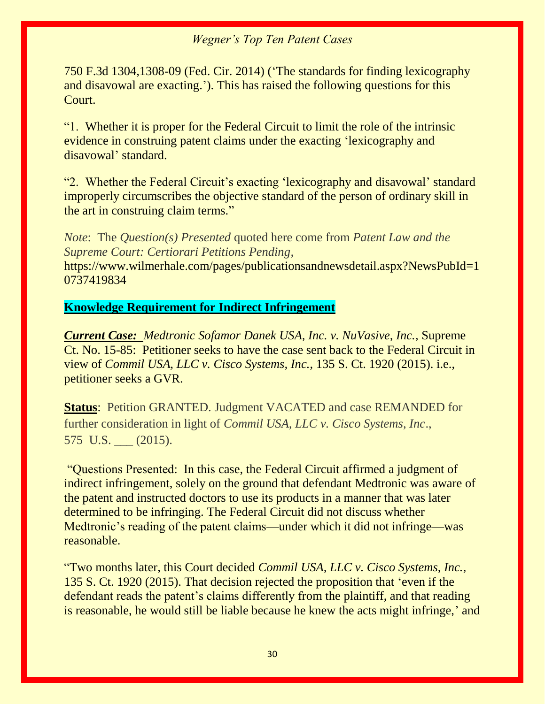750 F.3d 1304,1308-09 (Fed. Cir. 2014) ('The standards for finding lexicography and disavowal are exacting.'). This has raised the following questions for this Court.

"1. Whether it is proper for the Federal Circuit to limit the role of the intrinsic evidence in construing patent claims under the exacting 'lexicography and disavowal' standard.

"2. Whether the Federal Circuit's exacting 'lexicography and disavowal' standard improperly circumscribes the objective standard of the person of ordinary skill in the art in construing claim terms."

*Note*: The *Question(s) Presented* quoted here come from *Patent Law and the Supreme Court: Certiorari Petitions Pending,* 

https://www.wilmerhale.com/pages/publicationsandnewsdetail.aspx?NewsPubId=1 0737419834

#### **Knowledge Requirement for Indirect Infringement**

*Current Case: Medtronic Sofamor Danek USA, Inc. v. NuVasive, Inc.*, Supreme Ct. No. 15-85: Petitioner seeks to have the case sent back to the Federal Circuit in view of *Commil USA, LLC v. Cisco Systems, Inc.*, 135 S. Ct. 1920 (2015). i.e., petitioner seeks a GVR.

**Status**: Petition GRANTED. Judgment VACATED and case REMANDED for further consideration in light of *Commil USA, LLC v. Cisco Systems, Inc*., 575 U.S. (2015).

"Questions Presented: In this case, the Federal Circuit affirmed a judgment of indirect infringement, solely on the ground that defendant Medtronic was aware of the patent and instructed doctors to use its products in a manner that was later determined to be infringing. The Federal Circuit did not discuss whether Medtronic's reading of the patent claims—under which it did not infringe—was reasonable.

"Two months later, this Court decided *Commil USA, LLC v. Cisco Systems, Inc.*, 135 S. Ct. 1920 (2015). That decision rejected the proposition that 'even if the defendant reads the patent's claims differently from the plaintiff, and that reading is reasonable, he would still be liable because he knew the acts might infringe,' and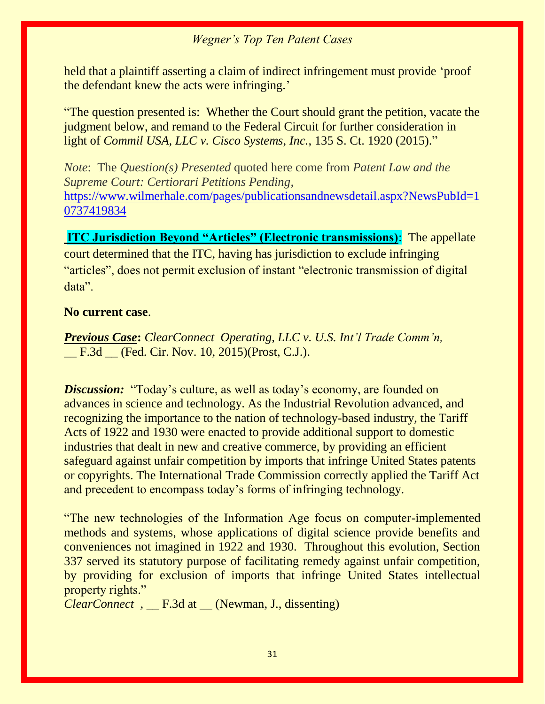held that a plaintiff asserting a claim of indirect infringement must provide 'proof the defendant knew the acts were infringing.'

"The question presented is: Whether the Court should grant the petition, vacate the judgment below, and remand to the Federal Circuit for further consideration in light of *Commil USA, LLC v. Cisco Systems, Inc.*, 135 S. Ct. 1920 (2015)."

*Note*: The *Question(s) Presented* quoted here come from *Patent Law and the Supreme Court: Certiorari Petitions Pending,*  [https://www.wilmerhale.com/pages/publicationsandnewsdetail.aspx?NewsPubId=1](https://www.wilmerhale.com/pages/publicationsandnewsdetail.aspx?NewsPubId=10737419834) [0737419834](https://www.wilmerhale.com/pages/publicationsandnewsdetail.aspx?NewsPubId=10737419834)

**ITC Jurisdiction Beyond "Articles" (Electronic transmissions)**: The appellate court determined that the ITC, having has jurisdiction to exclude infringing "articles", does not permit exclusion of instant "electronic transmission of digital data".

#### **No current case**.

*Previous Case***:** *ClearConnect Operating, LLC v. U.S. Int'l Trade Comm'n,*  F.3d (Fed. Cir. Nov. 10, 2015)(Prost, C.J.).

*Discussion:* "Today's culture, as well as today's economy, are founded on advances in science and technology. As the Industrial Revolution advanced, and recognizing the importance to the nation of technology-based industry, the Tariff Acts of 1922 and 1930 were enacted to provide additional support to domestic industries that dealt in new and creative commerce, by providing an efficient safeguard against unfair competition by imports that infringe United States patents or copyrights. The International Trade Commission correctly applied the Tariff Act and precedent to encompass today's forms of infringing technology.

"The new technologies of the Information Age focus on computer-implemented methods and systems, whose applications of digital science provide benefits and conveniences not imagined in 1922 and 1930. Throughout this evolution, Section 337 served its statutory purpose of facilitating remedy against unfair competition, by providing for exclusion of imports that infringe United States intellectual property rights."

*ClearConnect ,* \_\_ F.3d at \_\_ (Newman, J., dissenting)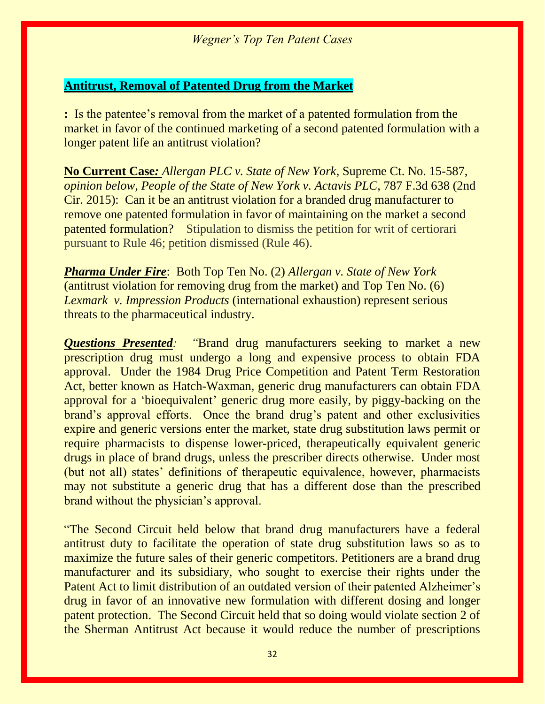#### **Antitrust, Removal of Patented Drug from the Market**

**:** Is the patentee's removal from the market of a patented formulation from the market in favor of the continued marketing of a second patented formulation with a longer patent life an antitrust violation?

**No Current Case***: Allergan PLC v. State of New York*, Supreme Ct. No. 15-587, *opinion below, People of the State of New York v. Actavis PLC*, 787 F.3d 638 (2nd Cir. 2015): Can it be an antitrust violation for a branded drug manufacturer to remove one patented formulation in favor of maintaining on the market a second patented formulation? Stipulation to dismiss the petition for writ of certiorari pursuant to Rule 46; petition dismissed (Rule 46).

*Pharma Under Fire*: Both Top Ten No. (2) *Allergan v. State of New York* (antitrust violation for removing drug from the market) and Top Ten No. (6) *Lexmark v. Impression Products* (international exhaustion) represent serious threats to the pharmaceutical industry.

*Questions Presented: "*Brand drug manufacturers seeking to market a new prescription drug must undergo a long and expensive process to obtain FDA approval. Under the 1984 Drug Price Competition and Patent Term Restoration Act, better known as Hatch-Waxman, generic drug manufacturers can obtain FDA approval for a 'bioequivalent' generic drug more easily, by piggy-backing on the brand's approval efforts. Once the brand drug's patent and other exclusivities expire and generic versions enter the market, state drug substitution laws permit or require pharmacists to dispense lower-priced, therapeutically equivalent generic drugs in place of brand drugs, unless the prescriber directs otherwise. Under most (but not all) states' definitions of therapeutic equivalence, however, pharmacists may not substitute a generic drug that has a different dose than the prescribed brand without the physician's approval.

"The Second Circuit held below that brand drug manufacturers have a federal antitrust duty to facilitate the operation of state drug substitution laws so as to maximize the future sales of their generic competitors. Petitioners are a brand drug manufacturer and its subsidiary, who sought to exercise their rights under the Patent Act to limit distribution of an outdated version of their patented Alzheimer's drug in favor of an innovative new formulation with different dosing and longer patent protection. The Second Circuit held that so doing would violate section 2 of the Sherman Antitrust Act because it would reduce the number of prescriptions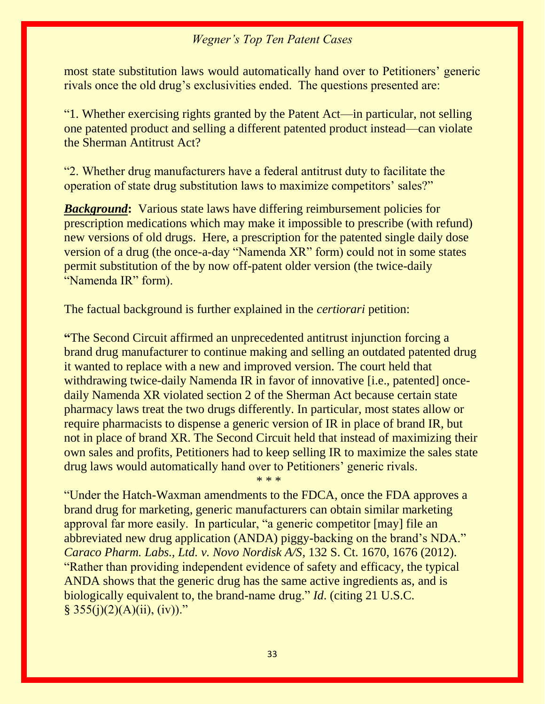most state substitution laws would automatically hand over to Petitioners' generic rivals once the old drug's exclusivities ended. The questions presented are:

"1. Whether exercising rights granted by the Patent Act—in particular, not selling one patented product and selling a different patented product instead—can violate the Sherman Antitrust Act?

"2. Whether drug manufacturers have a federal antitrust duty to facilitate the operation of state drug substitution laws to maximize competitors' sales?"

*Background***:** Various state laws have differing reimbursement policies for prescription medications which may make it impossible to prescribe (with refund) new versions of old drugs. Here, a prescription for the patented single daily dose version of a drug (the once-a-day "Namenda XR" form) could not in some states permit substitution of the by now off-patent older version (the twice-daily "Namenda IR" form).

The factual background is further explained in the *certiorari* petition:

**"**The Second Circuit affirmed an unprecedented antitrust injunction forcing a brand drug manufacturer to continue making and selling an outdated patented drug it wanted to replace with a new and improved version. The court held that withdrawing twice-daily Namenda IR in favor of innovative [i.e., patented] oncedaily Namenda XR violated section 2 of the Sherman Act because certain state pharmacy laws treat the two drugs differently. In particular, most states allow or require pharmacists to dispense a generic version of IR in place of brand IR, but not in place of brand XR. The Second Circuit held that instead of maximizing their own sales and profits, Petitioners had to keep selling IR to maximize the sales state drug laws would automatically hand over to Petitioners' generic rivals.

\* \* \*

"Under the Hatch-Waxman amendments to the FDCA, once the FDA approves a brand drug for marketing, generic manufacturers can obtain similar marketing approval far more easily. In particular, "a generic competitor [may] file an abbreviated new drug application (ANDA) piggy-backing on the brand's NDA." *Caraco Pharm. Labs., Ltd. v. Novo Nordisk A/S*, 132 S. Ct. 1670, 1676 (2012). "Rather than providing independent evidence of safety and efficacy, the typical ANDA shows that the generic drug has the same active ingredients as, and is biologically equivalent to, the brand-name drug." *Id*. (citing 21 U.S.C.  $§ 355(j)(2)(A)(ii), (iv))."$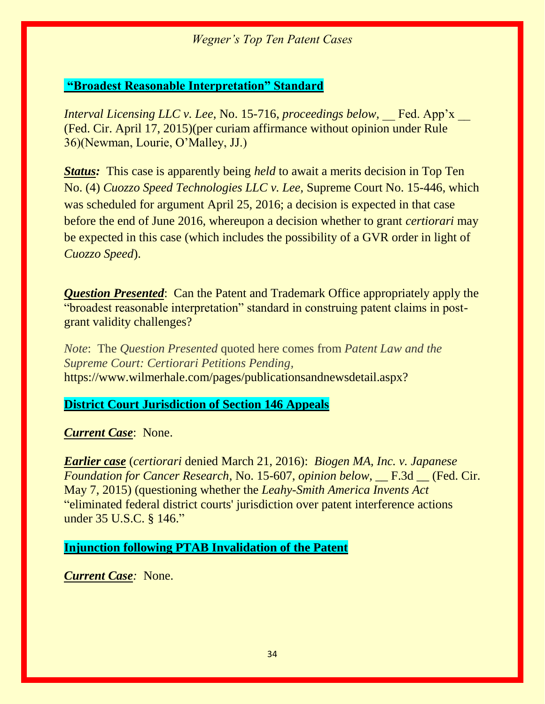#### **"Broadest Reasonable Interpretation" Standard**

*Interval Licensing LLC v. Lee, No. 15-716, proceedings below,* Fed. App'x (Fed. Cir. April 17, 2015)(per curiam affirmance without opinion under Rule 36)(Newman, Lourie, O'Malley, JJ.)

*Status:* This case is apparently being *held* to await a merits decision in Top Ten No. (4) *Cuozzo Speed Technologies LLC v. Lee,* Supreme Court No. 15-446, which was scheduled for argument April 25, 2016; a decision is expected in that case before the end of June 2016, whereupon a decision whether to grant *certiorari* may be expected in this case (which includes the possibility of a GVR order in light of *Cuozzo Speed*).

*Question Presented*: Can the Patent and Trademark Office appropriately apply the "broadest reasonable interpretation" standard in construing patent claims in postgrant validity challenges?

*Note*: The *Question Presented* quoted here comes from *Patent Law and the Supreme Court: Certiorari Petitions Pending,*  https://www.wilmerhale.com/pages/publicationsandnewsdetail.aspx?

### **District Court Jurisdiction of Section 146 Appeals**

*Current Case*: None.

*Earlier case* (*certiorari* denied March 21, 2016): *Biogen MA, Inc. v. Japanese Foundation for Cancer Research*, No. 15-607, *opinion below,* \_\_ F.3d \_\_ (Fed. Cir. May 7, 2015) (questioning whether the *Leahy-Smith America Invents Act* "eliminated federal district courts' jurisdiction over patent interference actions under 35 U.S.C. § 146."

#### **Injunction following PTAB Invalidation of the Patent**

*Current Case:* None.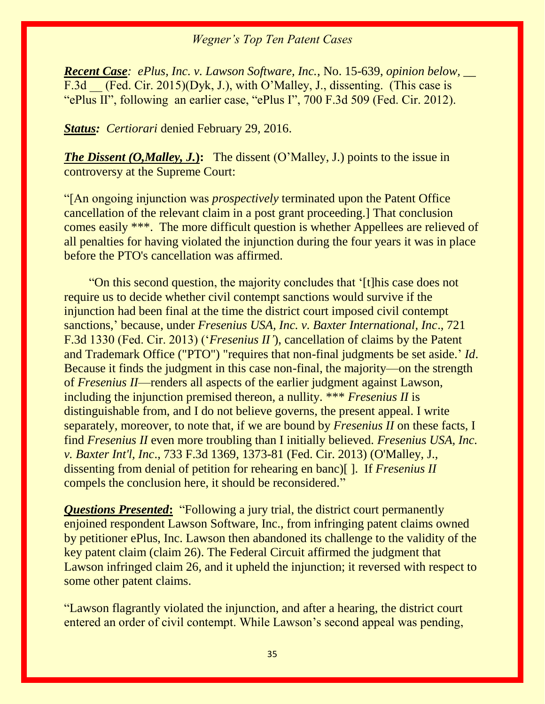*Recent Case: ePlus, Inc. v. Lawson Software, Inc.*, No. 15-639, *opinion below, \_\_*  F.3d (Fed. Cir. 2015)(Dyk, J.), with O'Malley, J., dissenting. (This case is "ePlus II", following an earlier case, "ePlus I", 700 F.3d 509 (Fed. Cir. 2012).

*Status: Certiorari denied February 29, 2016.* 

*The Dissent (O,Malley, J.*): The dissent (O'Malley, J.) points to the issue in controversy at the Supreme Court:

"[An ongoing injunction was *prospectively* terminated upon the Patent Office cancellation of the relevant claim in a post grant proceeding.] That conclusion comes easily \*\*\*. The more difficult question is whether Appellees are relieved of all penalties for having violated the injunction during the four years it was in place before the PTO's cancellation was affirmed.

 "On this second question, the majority concludes that '[t]his case does not require us to decide whether civil contempt sanctions would survive if the injunction had been final at the time the district court imposed civil contempt sanctions,' because, under *Fresenius USA, Inc. v. Baxter International, Inc*., 721 F.3d 1330 (Fed. Cir. 2013) ('*Fresenius II'*), cancellation of claims by the Patent and Trademark Office ("PTO") "requires that non-final judgments be set aside.' *Id*. Because it finds the judgment in this case non-final, the majority—on the strength of *Fresenius II*—renders all aspects of the earlier judgment against Lawson, including the injunction premised thereon, a nullity. \*\*\* *Fresenius II* is distinguishable from, and I do not believe governs, the present appeal. I write separately, moreover, to note that, if we are bound by *Fresenius II* on these facts, I find *Fresenius II* even more troubling than I initially believed. *Fresenius USA, Inc. v. Baxter Int'l, Inc*., 733 F.3d 1369, 1373-81 (Fed. Cir. 2013) (O'Malley, J., dissenting from denial of petition for rehearing en banc)[ ]. If *Fresenius II* compels the conclusion here, it should be reconsidered."

*Questions Presented***:** "Following a jury trial, the district court permanently enjoined respondent Lawson Software, Inc., from infringing patent claims owned by petitioner ePlus, Inc. Lawson then abandoned its challenge to the validity of the key patent claim (claim 26). The Federal Circuit affirmed the judgment that Lawson infringed claim 26, and it upheld the injunction; it reversed with respect to some other patent claims.

"Lawson flagrantly violated the injunction, and after a hearing, the district court entered an order of civil contempt. While Lawson's second appeal was pending,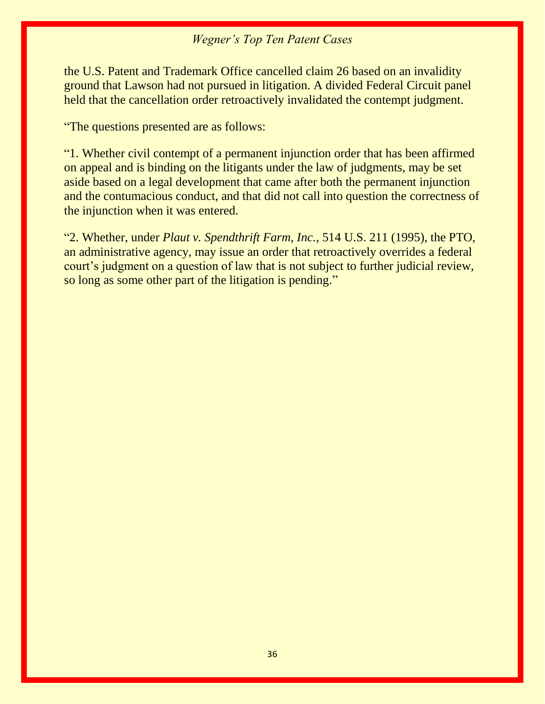the U.S. Patent and Trademark Office cancelled claim 26 based on an invalidity ground that Lawson had not pursued in litigation. A divided Federal Circuit panel held that the cancellation order retroactively invalidated the contempt judgment.

"The questions presented are as follows:

"1. Whether civil contempt of a permanent injunction order that has been affirmed on appeal and is binding on the litigants under the law of judgments, may be set aside based on a legal development that came after both the permanent injunction and the contumacious conduct, and that did not call into question the correctness of the injunction when it was entered.

"2. Whether, under *Plaut v. Spendthrift Farm, Inc.*, 514 U.S. 211 (1995), the PTO, an administrative agency, may issue an order that retroactively overrides a federal court's judgment on a question of law that is not subject to further judicial review, so long as some other part of the litigation is pending."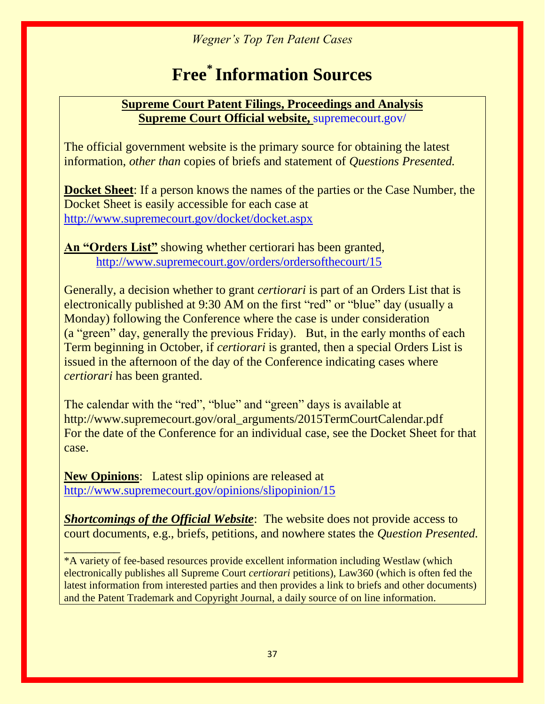# **Free\* Information Sources**

#### **Supreme Court Patent Filings, Proceedings and Analysis Supreme Court Official website,** supremecourt.gov/

The official government website is the primary source for obtaining the latest information, *other than* copies of briefs and statement of *Questions Presented.*

**Docket Sheet**: If a person knows the names of the parties or the Case Number, the Docket Sheet is easily accessible for each case at <http://www.supremecourt.gov/docket/docket.aspx>

**An "Orders List"** showing whether certiorari has been granted, <http://www.supremecourt.gov/orders/ordersofthecourt/15>

Generally, a decision whether to grant *certiorari* is part of an Orders List that is electronically published at 9:30 AM on the first "red" or "blue" day (usually a Monday) following the Conference where the case is under consideration (a "green" day, generally the previous Friday). But, in the early months of each Term beginning in October, if *certiorari* is granted, then a special Orders List is issued in the afternoon of the day of the Conference indicating cases where *certiorari* has been granted.

The calendar with the "red", "blue" and "green" days is available at http://www.supremecourt.gov/oral\_arguments/2015TermCourtCalendar.pdf For the date of the Conference for an individual case, see the Docket Sheet for that case.

**New Opinions**: Latest slip opinions are released at <http://www.supremecourt.gov/opinions/slipopinion/15>

**Shortcomings of the Official Website**: The website does not provide access to court documents, e.g., briefs, petitions, and nowhere states the *Question Presented.*

*\_\_\_\_\_\_\_\_\_* \*A variety of fee-based resources provide excellent information including Westlaw (which electronically publishes all Supreme Court *certiorari* petitions), Law360 (which is often fed the latest information from interested parties and then provides a link to briefs and other documents) and the Patent Trademark and Copyright Journal, a daily source of on line information.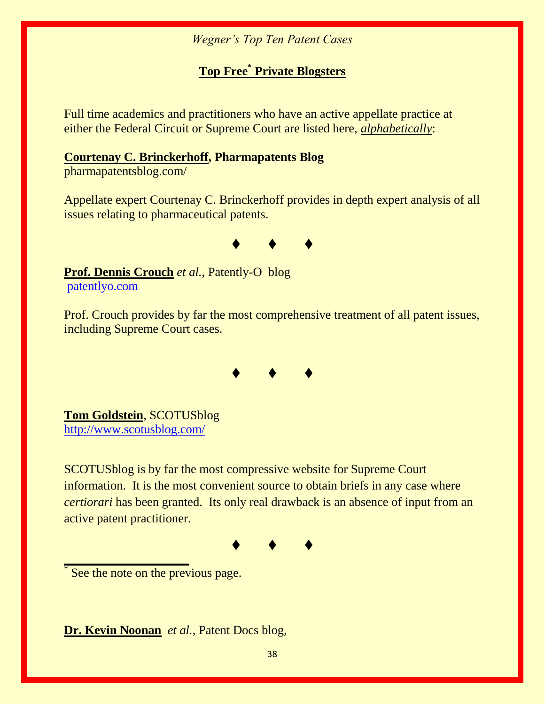### **Top Free\* Private Blogsters**

Full time academics and practitioners who have an active appellate practice at either the Federal Circuit or Supreme Court are listed here, *alphabetically*:

#### **[Courtenay C. Brinckerhoff,](http://www.foley.com/courtenay-c-brinckerhoff/) Pharmapatents Blog**

pharmapatentsblog.com/

Appellate expert Courtenay C. Brinckerhoff provides in depth expert analysis of all issues relating to pharmaceutical patents.



**Prof. Dennis Crouch** *et al.*, Patently-O blog patentlyo.com

Prof. Crouch provides by far the most comprehensive treatment of all patent issues, including Supreme Court cases.



**Tom Goldstein**, SCOTUSblog <http://www.scotusblog.com/>

SCOTUSblog is by far the most compressive website for Supreme Court information. It is the most convenient source to obtain briefs in any case where *certiorari* has been granted. Its only real drawback is an absence of input from an active patent practitioner.

♦♦♦

\* See the note on the previous page.

**\_\_\_\_\_\_\_\_\_\_\_\_\_\_\_\_\_\_\_\_**

**Dr. Kevin Noonan** *et al.*, Patent Docs blog,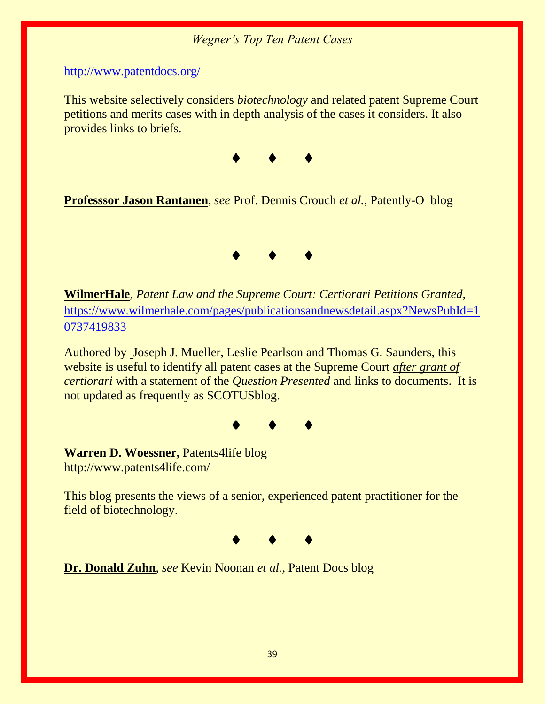<http://www.patentdocs.org/>

This website selectively considers *biotechnology* and related patent Supreme Court petitions and merits cases with in depth analysis of the cases it considers. It also provides links to briefs.



**Professsor Jason Rantanen**, *see* Prof. Dennis Crouch *et al.*, Patently-O blog



**WilmerHale**, *Patent Law and the Supreme Court: Certiorari Petitions Granted,* [https://www.wilmerhale.com/pages/publicationsandnewsdetail.aspx?NewsPubId=1](https://www.wilmerhale.com/pages/publicationsandnewsdetail.aspx?NewsPubId=10737419833) [0737419833](https://www.wilmerhale.com/pages/publicationsandnewsdetail.aspx?NewsPubId=10737419833)

Authored by Joseph J. Mueller, Leslie Pearlson and Thomas G. Saunders, this website is useful to identify all patent cases at the Supreme Court *after grant of certiorari* with a statement of the *Question Presented* and links to documents. It is not updated as frequently as SCOTUSblog.



**Warren D. Woessner,** Patents4life blog http://www.patents4life.com/

This blog presents the views of a senior, experienced patent practitioner for the field of biotechnology.



**Dr. Donald Zuhn**, *see* Kevin Noonan *et al.,* Patent Docs blog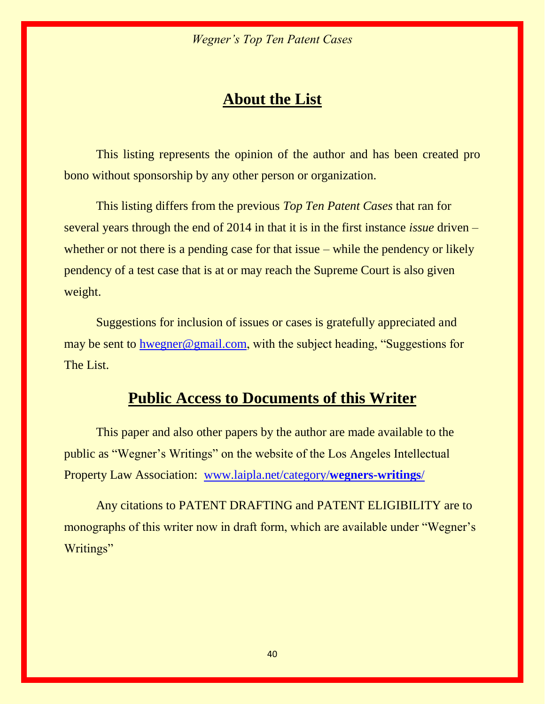# **About the List**

This listing represents the opinion of the author and has been created pro bono without sponsorship by any other person or organization.

This listing differs from the previous *Top Ten Patent Cases* that ran for several years through the end of 2014 in that it is in the first instance *issue* driven – whether or not there is a pending case for that issue – while the pendency or likely pendency of a test case that is at or may reach the Supreme Court is also given weight.

Suggestions for inclusion of issues or cases is gratefully appreciated and may be sent to [hwegner@gmail.com](mailto:hwegner@gmail.com), with the subject heading, "Suggestions for The List.

# **Public Access to Documents of this Writer**

This paper and also other papers by the author are made available to the public as "Wegner's Writings" on the website of the Los Angeles Intellectual Property Law Association: [www.laipla.net/category/](http://www.laipla.net/category/wegners-writings/)**wegners-writings**/

Any citations to PATENT DRAFTING and PATENT ELIGIBILITY are to monographs of this writer now in draft form, which are available under "Wegner's Writings"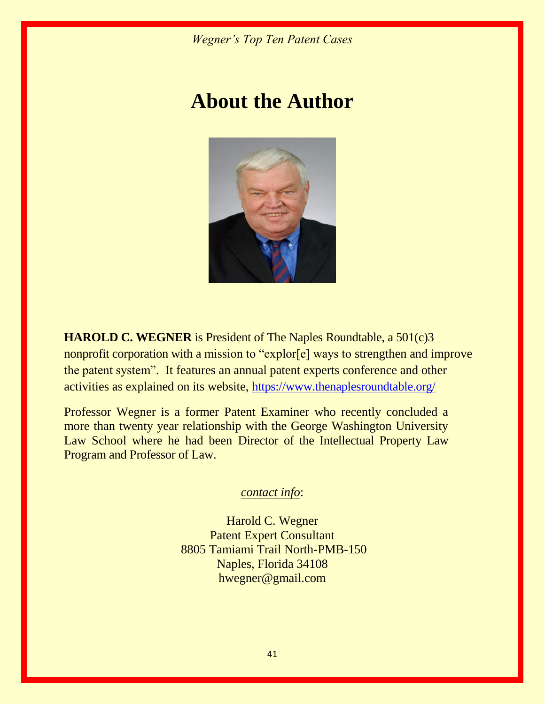# **About the Author**



**HAROLD C. WEGNER** is President of The Naples Roundtable, a 501(c)3 nonprofit corporation with a mission to "explor[e] ways to strengthen and improve the patent system". It features an annual patent experts conference and other activities as explained on its website, <https://www.thenaplesroundtable.org/>

Professor Wegner is a former Patent Examiner who recently concluded a more than twenty year relationship with the George Washington University Law School where he had been Director of the Intellectual Property Law Program and Professor of Law.

*contact info*:

Harold C. Wegner Patent Expert Consultant 8805 Tamiami Trail North-PMB-150 Naples, Florida 34108 hwegner@gmail.com

41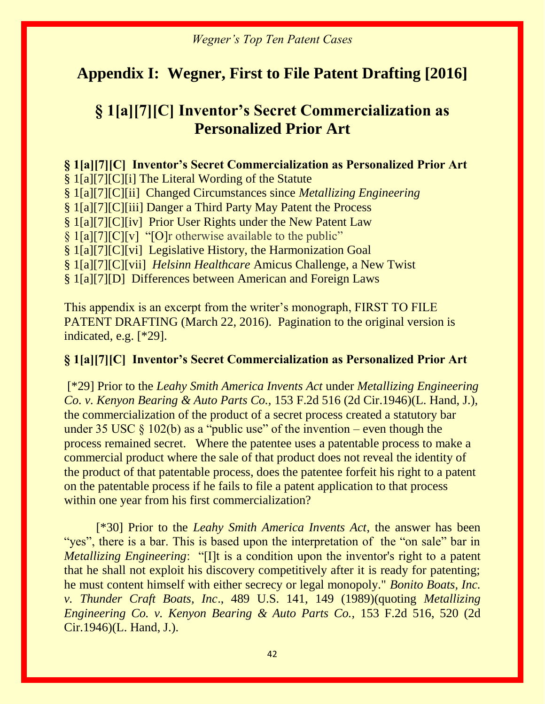# **Appendix I: Wegner, First to File Patent Drafting [2016]**

# **§ 1[a][7][C] Inventor's Secret Commercialization as Personalized Prior Art**

**§ 1[a][7][C] Inventor's Secret Commercialization as Personalized Prior Art** § 1[a][7][C][i] The Literal Wording of the Statute § 1[a][7][C][ii] Changed Circumstances since *Metallizing Engineering*  § 1[a][7][C][iii] Danger a Third Party May Patent the Process § 1[a][7][C][iv] Prior User Rights under the New Patent Law § 1[a][7][C][v] "[O]r otherwise available to the public" § 1[a][7][C][vi] Legislative History, the Harmonization Goal § 1[a][7][C][vii] *Helsinn Healthcare* Amicus Challenge, a New Twist § 1[a][7][D] Differences between American and Foreign Laws

This appendix is an excerpt from the writer's monograph, FIRST TO FILE PATENT DRAFTING (March 22, 2016). Pagination to the original version is indicated, e.g. [\*29].

#### **§ 1[a][7][C] Inventor's Secret Commercialization as Personalized Prior Art**

[\*29] Prior to the *Leahy Smith America Invents Act* under *Metallizing Engineering Co. v. Kenyon Bearing & Auto Parts Co.,* 153 F.2d 516 (2d Cir.1946)(L. Hand, J.), the commercialization of the product of a secret process created a statutory bar under 35 USC  $\S$  102(b) as a "public use" of the invention – even though the process remained secret. Where the patentee uses a patentable process to make a commercial product where the sale of that product does not reveal the identity of the product of that patentable process, does the patentee forfeit his right to a patent on the patentable process if he fails to file a patent application to that process within one year from his first commercialization?

[\*30] Prior to the *Leahy Smith America Invents Act*, the answer has been "yes", there is a bar. This is based upon the interpretation of the "on sale" bar in *Metallizing Engineering*: "[I]t is a condition upon the inventor's right to a patent that he shall not exploit his discovery competitively after it is ready for patenting; he must content himself with either secrecy or legal monopoly." *Bonito Boats, Inc. v. Thunder Craft Boats, Inc*., 489 U.S. 141, 149 (1989)(quoting *Metallizing Engineering Co. v. Kenyon Bearing & Auto Parts Co.,* 153 F.2d 516, 520 (2d Cir.1946)(L. Hand, J.).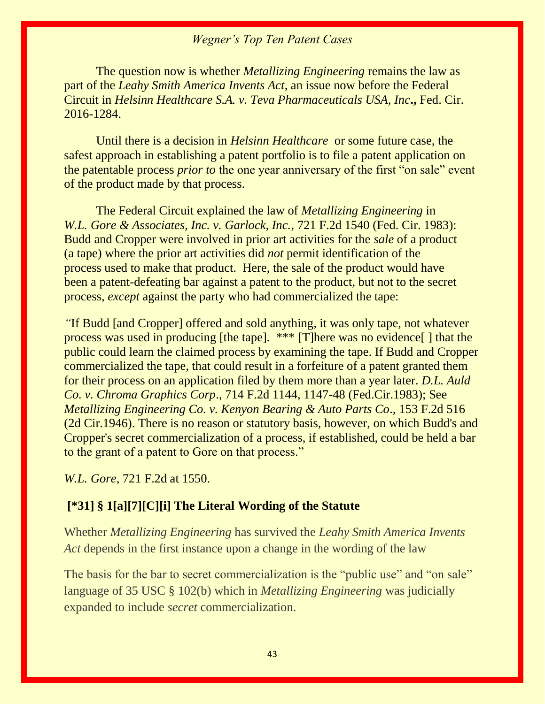The question now is whether *Metallizing Engineering* remains the law as part of the *Leahy Smith America Invents Act*, an issue now before the Federal Circuit in *Helsinn Healthcare S.A. v. Teva Pharmaceuticals USA, Inc***.,** Fed. Cir. 2016-1284.

Until there is a decision in *Helsinn Healthcare* or some future case, the safest approach in establishing a patent portfolio is to file a patent application on the patentable process *prior to* the one year anniversary of the first "on sale" event of the product made by that process.

The Federal Circuit explained the law of *Metallizing Engineering* in *W.L. Gore & Associates, Inc. v. Garlock, Inc.*, 721 F.2d 1540 (Fed. Cir. 1983): Budd and Cropper were involved in prior art activities for the *sale* of a product (a tape) where the prior art activities did *not* permit identification of the process used to make that product. Here, the sale of the product would have been a patent-defeating bar against a patent to the product, but not to the secret process, *except* against the party who had commercialized the tape:

*"*If Budd [and Cropper] offered and sold anything, it was only tape, not whatever process was used in producing [the tape]. \*\*\* [T]here was no evidence[ ] that the public could learn the claimed process by examining the tape. If Budd and Cropper commercialized the tape, that could result in a forfeiture of a patent granted them for their process on an application filed by them more than a year later. *D.L. Auld Co. v. Chroma Graphics Corp*., 714 F.2d 1144, 1147-48 (Fed.Cir.1983); See *Metallizing Engineering Co. v. Kenyon Bearing & Auto Parts Co*., 153 F.2d 516 (2d Cir.1946). There is no reason or statutory basis, however, on which Budd's and Cropper's secret commercialization of a process, if established, could be held a bar to the grant of a patent to Gore on that process."

*W.L. Gore*, 721 F.2d at 1550.

#### **[\*31] § 1[a][7][C][i] The Literal Wording of the Statute**

Whether *Metallizing Engineering* has survived the *Leahy Smith America Invents Act* depends in the first instance upon a change in the wording of the law

The basis for the bar to secret commercialization is the "public use" and "on sale" language of 35 USC § 102(b) which in *Metallizing Engineering* was judicially expanded to include *secret* commercialization.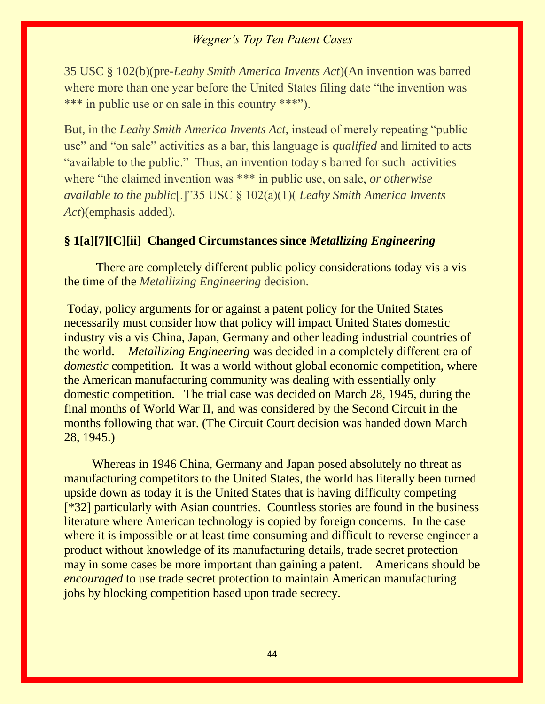35 USC § 102(b)(pre-*Leahy Smith America Invents Act*)(An invention was barred where more than one year before the United States filing date "the invention was \*\*\* in public use or on sale in this country \*\*\*").

But, in the *Leahy Smith America Invents Act,* instead of merely repeating "public use" and "on sale" activities as a bar, this language is *qualified* and limited to acts "available to the public." Thus, an invention today s barred for such activities where "the claimed invention was \*\*\* in public use, on sale, *or otherwise available to the public*[.]"35 USC § 102(a)(1)( *Leahy Smith America Invents Act*)(emphasis added).

#### **§ 1[a][7][C][ii] Changed Circumstances since** *Metallizing Engineering*

There are completely different public policy considerations today vis a vis the time of the *Metallizing Engineering* decision.

Today, policy arguments for or against a patent policy for the United States necessarily must consider how that policy will impact United States domestic industry vis a vis China, Japan, Germany and other leading industrial countries of the world. *Metallizing Engineering* was decided in a completely different era of *domestic* competition. It was a world without global economic competition, where the American manufacturing community was dealing with essentially only domestic competition. The trial case was decided on March 28, 1945, during the final months of World War II, and was considered by the Second Circuit in the months following that war. (The Circuit Court decision was handed down March 28, 1945.)

 Whereas in 1946 China, Germany and Japan posed absolutely no threat as manufacturing competitors to the United States, the world has literally been turned upside down as today it is the United States that is having difficulty competing [\*32] particularly with Asian countries. Countless stories are found in the business literature where American technology is copied by foreign concerns. In the case where it is impossible or at least time consuming and difficult to reverse engineer a product without knowledge of its manufacturing details, trade secret protection may in some cases be more important than gaining a patent. Americans should be *encouraged* to use trade secret protection to maintain American manufacturing jobs by blocking competition based upon trade secrecy.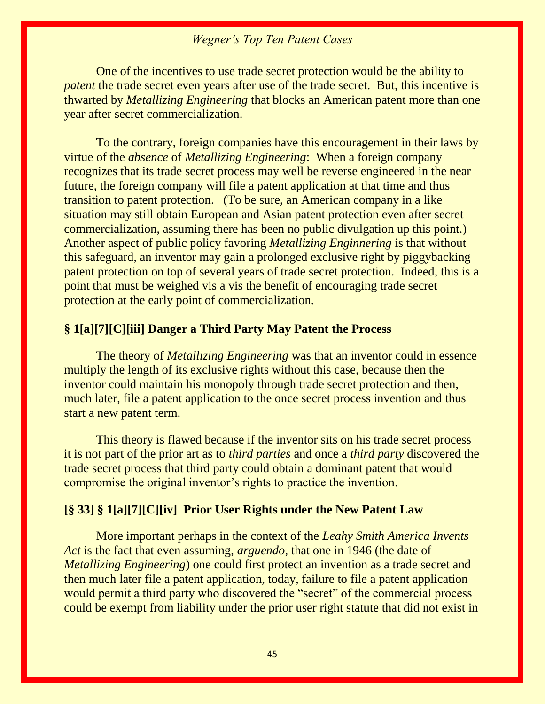One of the incentives to use trade secret protection would be the ability to *patent* the trade secret even years after use of the trade secret. But, this incentive is thwarted by *Metallizing Engineering* that blocks an American patent more than one year after secret commercialization.

To the contrary, foreign companies have this encouragement in their laws by virtue of the *absence* of *Metallizing Engineering*: When a foreign company recognizes that its trade secret process may well be reverse engineered in the near future, the foreign company will file a patent application at that time and thus transition to patent protection. (To be sure, an American company in a like situation may still obtain European and Asian patent protection even after secret commercialization, assuming there has been no public divulgation up this point.) Another aspect of public policy favoring *Metallizing Enginnering* is that without this safeguard, an inventor may gain a prolonged exclusive right by piggybacking patent protection on top of several years of trade secret protection. Indeed, this is a point that must be weighed vis a vis the benefit of encouraging trade secret protection at the early point of commercialization.

#### **§ 1[a][7][C][iii] Danger a Third Party May Patent the Process**

The theory of *Metallizing Engineering* was that an inventor could in essence multiply the length of its exclusive rights without this case, because then the inventor could maintain his monopoly through trade secret protection and then, much later, file a patent application to the once secret process invention and thus start a new patent term.

This theory is flawed because if the inventor sits on his trade secret process it is not part of the prior art as to *third parties* and once a *third party* discovered the trade secret process that third party could obtain a dominant patent that would compromise the original inventor's rights to practice the invention.

#### **[§ 33] § 1[a][7][C][iv] Prior User Rights under the New Patent Law**

More important perhaps in the context of the *Leahy Smith America Invents Act* is the fact that even assuming, *arguendo,* that one in 1946 (the date of *Metallizing Engineering*) one could first protect an invention as a trade secret and then much later file a patent application, today, failure to file a patent application would permit a third party who discovered the "secret" of the commercial process could be exempt from liability under the prior user right statute that did not exist in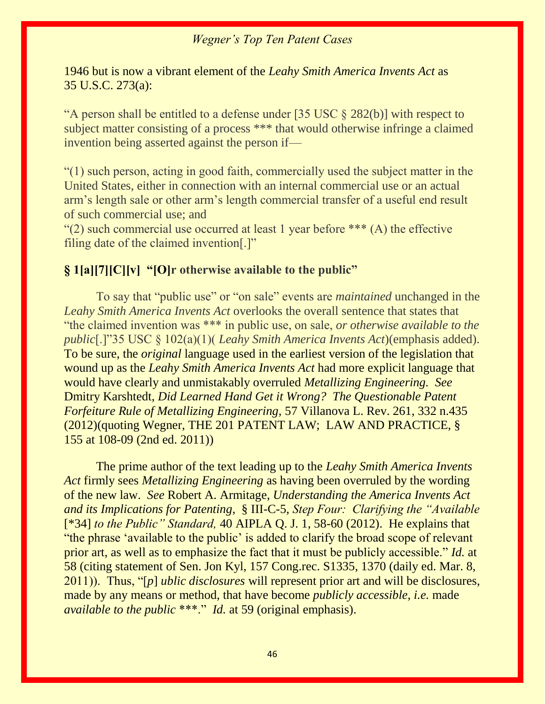1946 but is now a vibrant element of the *Leahy Smith America Invents Act* as 35 U.S.C. 273(a):

"A person shall be entitled to a defense under [35 USC § 282(b)] with respect to subject matter consisting of a process \*\*\* that would otherwise infringe a claimed invention being asserted against the person if—

"(1) such person, acting in good faith, commercially used the subject matter in the United States, either in connection with an internal commercial use or an actual arm's length sale or other arm's length commercial transfer of a useful end result of such commercial use; and

"(2) such commercial use occurred at least 1 year before  $***$  (A) the effective filing date of the claimed invention[.]"

#### **§ 1[a][7][C][v] "[O]r otherwise available to the public"**

To say that "public use" or "on sale" events are *maintained* unchanged in the *Leahy Smith America Invents Act* overlooks the overall sentence that states that "the claimed invention was \*\*\* in public use, on sale, *or otherwise available to the public*[.]"35 USC § 102(a)(1)( *Leahy Smith America Invents Act*)(emphasis added). To be sure, the *original* language used in the earliest version of the legislation that wound up as the *Leahy Smith America Invents Act* had more explicit language that would have clearly and unmistakably overruled *Metallizing Engineering. See*  Dmitry Karshtedt, *Did Learned Hand Get it Wrong? The Questionable Patent Forfeiture Rule of Metallizing Engineering,* 57 Villanova L. Rev. 261, 332 n.435 (2012)(quoting Wegner, THE 201 PATENT LAW; LAW AND PRACTICE, § 155 at 108-09 (2nd ed. 2011))

The prime author of the text leading up to the *Leahy Smith America Invents Act* firmly sees *Metallizing Engineering* as having been overruled by the wording of the new law. *See* Robert A. Armitage, *Understanding the America Invents Act and its Implications for Patenting*, § III-C-5, *Step Four: Clarifying the "Available*  [\*34] *to the Public" Standard,* 40 AIPLA Q. J. 1, 58-60 (2012). He explains that "the phrase 'available to the public' is added to clarify the broad scope of relevant prior art, as well as to emphasize the fact that it must be publicly accessible." *Id.* at 58 (citing statement of Sen. Jon Kyl, 157 Cong.rec. S1335, 1370 (daily ed. Mar. 8, 2011)). Thus, "[*p*] *ublic disclosures* will represent prior art and will be disclosures, made by any means or method, that have become *publicly accessible, i.e.* made *available to the public* \*\*\*." *Id.* at 59 (original emphasis).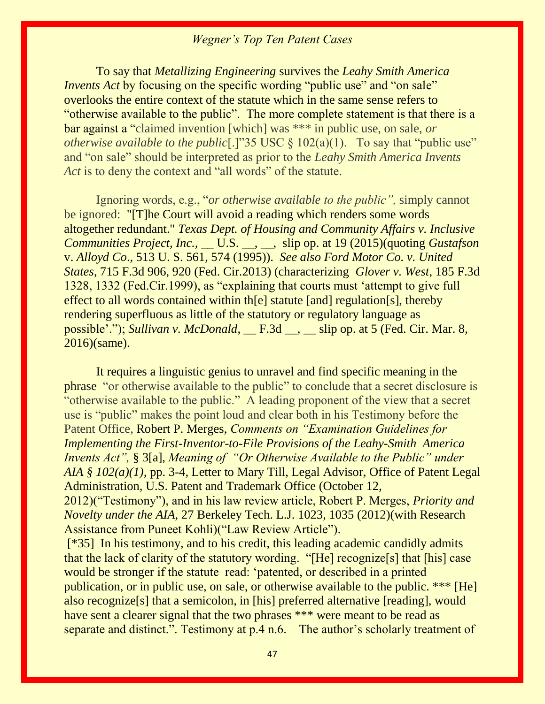To say that *Metallizing Engineering* survives the *Leahy Smith America Invents Act* by focusing on the specific wording "public use" and "on sale" overlooks the entire context of the statute which in the same sense refers to "otherwise available to the public". The more complete statement is that there is a bar against a "claimed invention [which] was \*\*\* in public use, on sale, *or otherwise available to the public*[.]"35 USC § 102(a)(1). To say that "public use" and "on sale" should be interpreted as prior to the *Leahy Smith America Invents Act* is to deny the context and "all words" of the statute.

Ignoring words, e.g., "*or otherwise available to the public",* simply cannot be ignored: "[T]he Court will avoid a reading which renders some words altogether redundant." *Texas Dept. of Housing and Community Affairs v. Inclusive Communities Project, Inc.,* \_\_ U.S. \_\_, \_\_, slip op. at 19 (2015)(quoting *Gustafson* v. *Alloyd Co*., 513 U. S. 561, 574 (1995)). *See also Ford Motor Co. v. United States*, 715 F.3d 906, 920 (Fed. Cir.2013) (characterizing *Glover v. West*, 185 F.3d 1328, 1332 (Fed.Cir.1999), as "explaining that courts must 'attempt to give full effect to all words contained within th[e] statute [and] regulation[s], thereby rendering superfluous as little of the statutory or regulatory language as possible'."); *Sullivan v. McDonald*, F.3d , slip op. at 5 (Fed. Cir. Mar. 8, 2016)(same).

It requires a linguistic genius to unravel and find specific meaning in the phrase "or otherwise available to the public" to conclude that a secret disclosure is "otherwise available to the public." A leading proponent of the view that a secret use is "public" makes the point loud and clear both in his Testimony before the Patent Office, Robert P. Merges, *Comments on "Examination Guidelines for Implementing the First-Inventor-to-File Provisions of the Leahy-Smith America Invents Act",* § 3[a], *Meaning of "Or Otherwise Available to the Public" under AIA* § 102(*a*)(1), pp. 3-4, Letter to Mary Till, Legal Advisor, Office of Patent Legal Administration, U.S. Patent and Trademark Office (October 12,

2012)("Testimony"), and in his law review article, Robert P. Merges, *Priority and Novelty under the AIA,* 27 Berkeley Tech. L.J. 1023, 1035 (2012)(with Research Assistance from Puneet Kohli)("Law Review Article").

[\*35] In his testimony, and to his credit, this leading academic candidly admits that the lack of clarity of the statutory wording. "[He] recognize[s] that [his] case would be stronger if the statute read: 'patented, or described in a printed publication, or in public use, on sale, or otherwise available to the public. \*\*\* [He] also recognize[s] that a semicolon, in [his] preferred alternative [reading], would have sent a clearer signal that the two phrases \*\*\* were meant to be read as separate and distinct.". Testimony at p.4 n.6. The author's scholarly treatment of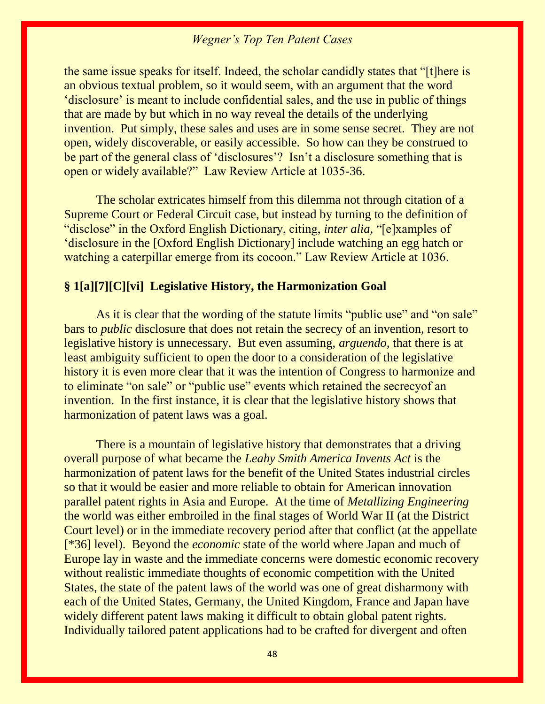the same issue speaks for itself. Indeed, the scholar candidly states that "[t]here is an obvious textual problem, so it would seem, with an argument that the word 'disclosure' is meant to include confidential sales, and the use in public of things that are made by but which in no way reveal the details of the underlying invention. Put simply, these sales and uses are in some sense secret. They are not open, widely discoverable, or easily accessible. So how can they be construed to be part of the general class of 'disclosures'? Isn't a disclosure something that is open or widely available?" Law Review Article at 1035-36.

The scholar extricates himself from this dilemma not through citation of a Supreme Court or Federal Circuit case, but instead by turning to the definition of "disclose" in the Oxford English Dictionary, citing, *inter alia,* "[e]xamples of 'disclosure in the [Oxford English Dictionary] include watching an egg hatch or watching a caterpillar emerge from its cocoon." Law Review Article at 1036.

#### **§ 1[a][7][C][vi] Legislative History, the Harmonization Goal**

As it is clear that the wording of the statute limits "public use" and "on sale" bars to *public* disclosure that does not retain the secrecy of an invention, resort to legislative history is unnecessary. But even assuming, *arguendo,* that there is at least ambiguity sufficient to open the door to a consideration of the legislative history it is even more clear that it was the intention of Congress to harmonize and to eliminate "on sale" or "public use" events which retained the secrecyof an invention. In the first instance, it is clear that the legislative history shows that harmonization of patent laws was a goal.

There is a mountain of legislative history that demonstrates that a driving overall purpose of what became the *Leahy Smith America Invents Act* is the harmonization of patent laws for the benefit of the United States industrial circles so that it would be easier and more reliable to obtain for American innovation parallel patent rights in Asia and Europe. At the time of *Metallizing Engineering*  the world was either embroiled in the final stages of World War II (at the District Court level) or in the immediate recovery period after that conflict (at the appellate [\*36] level). Beyond the *economic* state of the world where Japan and much of Europe lay in waste and the immediate concerns were domestic economic recovery without realistic immediate thoughts of economic competition with the United States, the state of the patent laws of the world was one of great disharmony with each of the United States, Germany, the United Kingdom, France and Japan have widely different patent laws making it difficult to obtain global patent rights. Individually tailored patent applications had to be crafted for divergent and often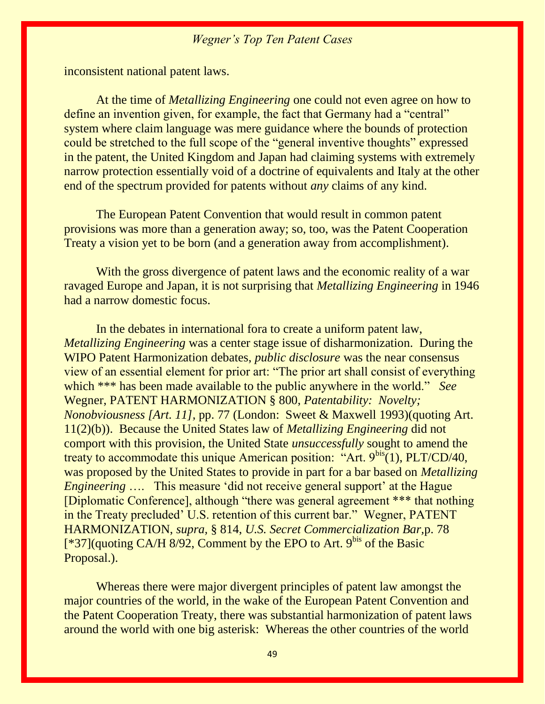inconsistent national patent laws.

At the time of *Metallizing Engineering* one could not even agree on how to define an invention given, for example, the fact that Germany had a "central" system where claim language was mere guidance where the bounds of protection could be stretched to the full scope of the "general inventive thoughts" expressed in the patent, the United Kingdom and Japan had claiming systems with extremely narrow protection essentially void of a doctrine of equivalents and Italy at the other end of the spectrum provided for patents without *any* claims of any kind.

The European Patent Convention that would result in common patent provisions was more than a generation away; so, too, was the Patent Cooperation Treaty a vision yet to be born (and a generation away from accomplishment).

With the gross divergence of patent laws and the economic reality of a war ravaged Europe and Japan, it is not surprising that *Metallizing Engineering* in 1946 had a narrow domestic focus.

In the debates in international fora to create a uniform patent law, *Metallizing Engineering* was a center stage issue of disharmonization. During the WIPO Patent Harmonization debates, *public disclosure* was the near consensus view of an essential element for prior art: "The prior art shall consist of everything which \*\*\* has been made available to the public anywhere in the world." *See* Wegner, PATENT HARMONIZATION § 800, *Patentability: Novelty; Nonobviousness [Art. 11],* pp. 77 (London: Sweet & Maxwell 1993)(quoting Art. 11(2)(b)). Because the United States law of *Metallizing Engineering* did not comport with this provision, the United State *unsuccessfully* sought to amend the treaty to accommodate this unique American position: "Art.  $9<sup>bis</sup>(1)$ , PLT/CD/40, was proposed by the United States to provide in part for a bar based on *Metallizing Engineering* .... This measure 'did not receive general support' at the Hague [Diplomatic Conference], although "there was general agreement \*\*\* that nothing in the Treaty precluded' U.S. retention of this current bar." Wegner, PATENT HARMONIZATION, *supra,* § 814, *U.S. Secret Commercialization Bar,*p. 78  $[$ \*37](quoting CA/H 8/92, Comment by the EPO to Art. 9<sup>bis</sup> of the Basic Proposal.).

Whereas there were major divergent principles of patent law amongst the major countries of the world, in the wake of the European Patent Convention and the Patent Cooperation Treaty, there was substantial harmonization of patent laws around the world with one big asterisk: Whereas the other countries of the world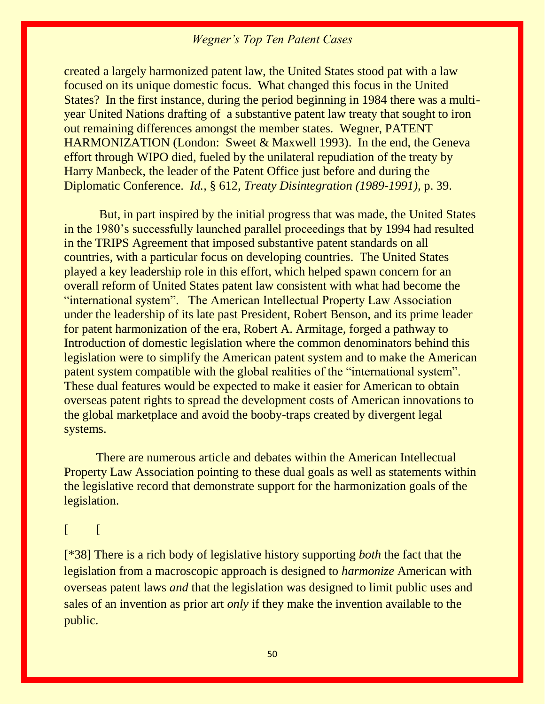created a largely harmonized patent law, the United States stood pat with a law focused on its unique domestic focus. What changed this focus in the United States? In the first instance, during the period beginning in 1984 there was a multiyear United Nations drafting of a substantive patent law treaty that sought to iron out remaining differences amongst the member states. Wegner, PATENT HARMONIZATION (London: Sweet & Maxwell 1993). In the end, the Geneva effort through WIPO died, fueled by the unilateral repudiation of the treaty by Harry Manbeck, the leader of the Patent Office just before and during the Diplomatic Conference. *Id.,* § 612, *Treaty Disintegration (1989-1991),* p. 39.

But, in part inspired by the initial progress that was made, the United States in the 1980's successfully launched parallel proceedings that by 1994 had resulted in the TRIPS Agreement that imposed substantive patent standards on all countries, with a particular focus on developing countries. The United States played a key leadership role in this effort, which helped spawn concern for an overall reform of United States patent law consistent with what had become the "international system". The American Intellectual Property Law Association under the leadership of its late past President, Robert Benson, and its prime leader for patent harmonization of the era, Robert A. Armitage, forged a pathway to Introduction of domestic legislation where the common denominators behind this legislation were to simplify the American patent system and to make the American patent system compatible with the global realities of the "international system". These dual features would be expected to make it easier for American to obtain overseas patent rights to spread the development costs of American innovations to the global marketplace and avoid the booby-traps created by divergent legal systems.

There are numerous article and debates within the American Intellectual Property Law Association pointing to these dual goals as well as statements within the legislative record that demonstrate support for the harmonization goals of the legislation.

### $\lceil$

[\*38] There is a rich body of legislative history supporting *both* the fact that the legislation from a macroscopic approach is designed to *harmonize* American with overseas patent laws *and* that the legislation was designed to limit public uses and sales of an invention as prior art *only* if they make the invention available to the public.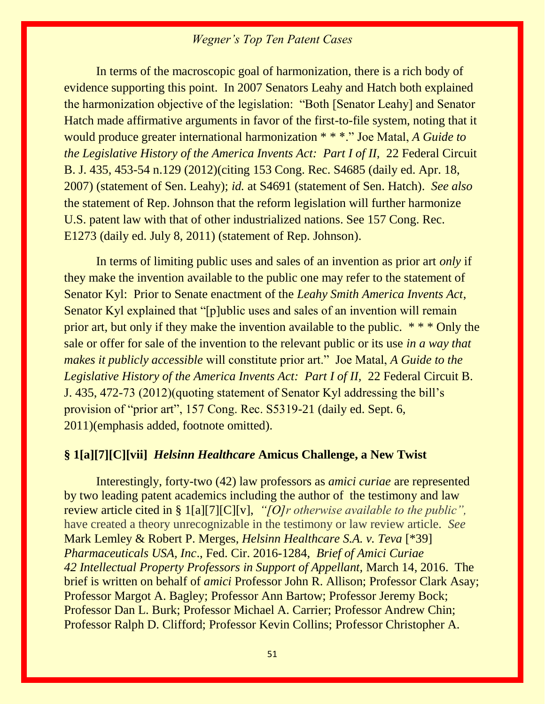In terms of the macroscopic goal of harmonization, there is a rich body of evidence supporting this point. In 2007 Senators Leahy and Hatch both explained the harmonization objective of the legislation: "Both [Senator Leahy] and Senator Hatch made affirmative arguments in favor of the first-to-file system, noting that it would produce greater international harmonization \* \* \*." Joe Matal, *A Guide to the Legislative History of the America Invents Act: Part I of II, 22 Federal Circuit* B. J. 435, 453-54 n.129 (2012)(citing 153 Cong. Rec. S4685 (daily ed. Apr. 18, 2007) (statement of Sen. Leahy); *id.* at S4691 (statement of Sen. Hatch). *See also*  the statement of Rep. Johnson that the reform legislation will further harmonize U.S. patent law with that of other industrialized nations. See 157 Cong. Rec. E1273 (daily ed. July 8, 2011) (statement of Rep. Johnson).

In terms of limiting public uses and sales of an invention as prior art *only* if they make the invention available to the public one may refer to the statement of Senator Kyl: Prior to Senate enactment of the *Leahy Smith America Invents Act*, Senator Kyl explained that "[p]ublic uses and sales of an invention will remain prior art, but only if they make the invention available to the public. \* \* \* Only the sale or offer for sale of the invention to the relevant public or its use *in a way that makes it publicly accessible* will constitute prior art." Joe Matal, *A Guide to the Legislative History of the America Invents Act: Part I of II, 22 Federal Circuit B.* J. 435, 472-73 (2012)(quoting statement of Senator Kyl addressing the bill's provision of "prior art", 157 Cong. Rec. S5319-21 (daily ed. Sept. 6, 2011)(emphasis added, footnote omitted).

#### **§ 1[a][7][C][vii]** *Helsinn Healthcare* **Amicus Challenge, a New Twist**

Interestingly, forty-two (42) law professors as *amici curiae* are represented by two leading patent academics including the author of the testimony and law review article cited in § 1[a][7][C][v], *"[O]r otherwise available to the public",*  have created a theory unrecognizable in the testimony or law review article. *See*  Mark Lemley & Robert P. Merges*, Helsinn Healthcare S.A. v. Teva* [\*39] *Pharmaceuticals USA, Inc*., Fed. Cir. 2016-1284, *Brief of Amici Curiae 42 Intellectual Property Professors in Support of Appellant,* March 14, 2016. The brief is written on behalf of *amici* Professor John R. Allison; Professor Clark Asay; Professor Margot A. Bagley; Professor Ann Bartow; Professor Jeremy Bock; Professor Dan L. Burk; Professor Michael A. Carrier; Professor Andrew Chin; Professor Ralph D. Clifford; Professor Kevin Collins; Professor Christopher A.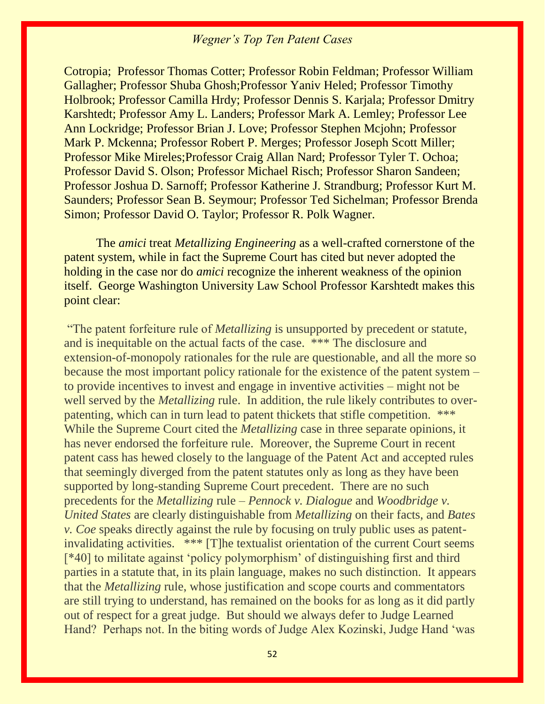Cotropia; Professor Thomas Cotter; Professor Robin Feldman; Professor William Gallagher; Professor Shuba Ghosh;Professor Yaniv Heled; Professor Timothy Holbrook; Professor Camilla Hrdy; Professor Dennis S. Karjala; Professor Dmitry Karshtedt; Professor Amy L. Landers; Professor Mark A. Lemley; Professor Lee Ann Lockridge; Professor Brian J. Love; Professor Stephen Mcjohn; Professor Mark P. Mckenna; Professor Robert P. Merges; Professor Joseph Scott Miller; Professor Mike Mireles;Professor Craig Allan Nard; Professor Tyler T. Ochoa; Professor David S. Olson; Professor Michael Risch; Professor Sharon Sandeen; Professor Joshua D. Sarnoff; Professor Katherine J. Strandburg; Professor Kurt M. Saunders; Professor Sean B. Seymour; Professor Ted Sichelman; Professor Brenda Simon; Professor David O. Taylor; Professor R. Polk Wagner.

The *amici* treat *Metallizing Engineering* as a well-crafted cornerstone of the patent system, while in fact the Supreme Court has cited but never adopted the holding in the case nor do *amici* recognize the inherent weakness of the opinion itself. George Washington University Law School Professor Karshtedt makes this point clear:

"The patent forfeiture rule of *Metallizing* is unsupported by precedent or statute, and is inequitable on the actual facts of the case. \*\*\* The disclosure and extension-of-monopoly rationales for the rule are questionable, and all the more so because the most important policy rationale for the existence of the patent system – to provide incentives to invest and engage in inventive activities – might not be well served by the *Metallizing* rule. In addition, the rule likely contributes to overpatenting, which can in turn lead to patent thickets that stifle competition. \*\*\* While the Supreme Court cited the *Metallizing* case in three separate opinions, it has never endorsed the forfeiture rule. Moreover, the Supreme Court in recent patent cass has hewed closely to the language of the Patent Act and accepted rules that seemingly diverged from the patent statutes only as long as they have been supported by long-standing Supreme Court precedent. There are no such precedents for the *Metallizing* rule – *Pennock v. Dialogue* and *Woodbridge v. United States* are clearly distinguishable from *Metallizing* on their facts, and *Bates v. Coe* speaks directly against the rule by focusing on truly public uses as patentinvalidating activities. \*\*\* [T]he textualist orientation of the current Court seems [\*40] to militate against 'policy polymorphism' of distinguishing first and third parties in a statute that, in its plain language, makes no such distinction. It appears that the *Metallizing* rule, whose justification and scope courts and commentators are still trying to understand, has remained on the books for as long as it did partly out of respect for a great judge. But should we always defer to Judge Learned Hand? Perhaps not. In the biting words of Judge Alex Kozinski, Judge Hand 'was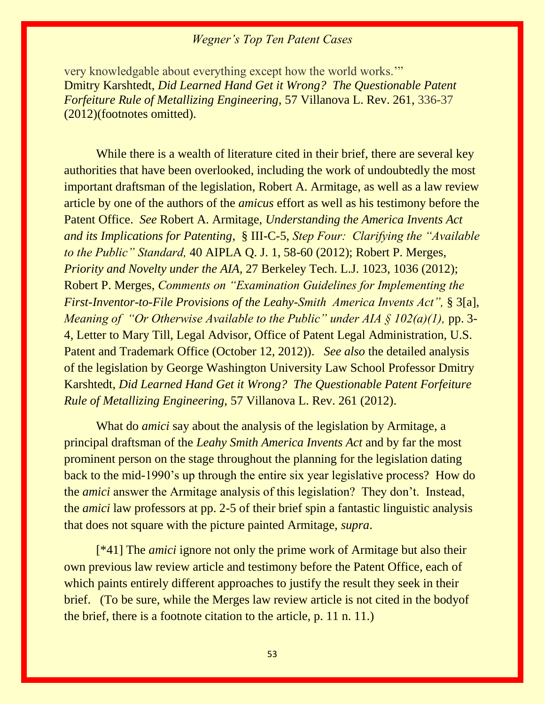very knowledgable about everything except how the world works.'" Dmitry Karshtedt, *Did Learned Hand Get it Wrong? The Questionable Patent Forfeiture Rule of Metallizing Engineering,* 57 Villanova L. Rev. 261, 336-37 (2012)(footnotes omitted).

While there is a wealth of literature cited in their brief, there are several key authorities that have been overlooked, including the work of undoubtedly the most important draftsman of the legislation, Robert A. Armitage, as well as a law review article by one of the authors of the *amicus* effort as well as his testimony before the Patent Office. *See* Robert A. Armitage, *Understanding the America Invents Act and its Implications for Patenting*, § III-C-5, *Step Four: Clarifying the "Available to the Public" Standard,* 40 AIPLA Q. J. 1, 58-60 (2012); Robert P. Merges, *Priority and Novelty under the AIA,* 27 Berkeley Tech. L.J. 1023, 1036 (2012); Robert P. Merges, *Comments on "Examination Guidelines for Implementing the First-Inventor-to-File Provisions of the Leahy-Smith America Invents Act",* § 3[a], *Meaning of "Or Otherwise Available to the Public" under AIA § 102(a)(1), pp.* 3-4, Letter to Mary Till, Legal Advisor, Office of Patent Legal Administration, U.S. Patent and Trademark Office (October 12, 2012)). *See also* the detailed analysis of the legislation by George Washington University Law School Professor Dmitry Karshtedt, *Did Learned Hand Get it Wrong? The Questionable Patent Forfeiture Rule of Metallizing Engineering,* 57 Villanova L. Rev. 261 (2012).

What do *amici* say about the analysis of the legislation by Armitage, a principal draftsman of the *Leahy Smith America Invents Act* and by far the most prominent person on the stage throughout the planning for the legislation dating back to the mid-1990's up through the entire six year legislative process? How do the *amici* answer the Armitage analysis of this legislation? They don't. Instead, the *amici* law professors at pp. 2-5 of their brief spin a fantastic linguistic analysis that does not square with the picture painted Armitage, *supra*.

[\*41] The *amici* ignore not only the prime work of Armitage but also their own previous law review article and testimony before the Patent Office, each of which paints entirely different approaches to justify the result they seek in their brief. (To be sure, while the Merges law review article is not cited in the bodyof the brief, there is a footnote citation to the article, p. 11 n. 11.)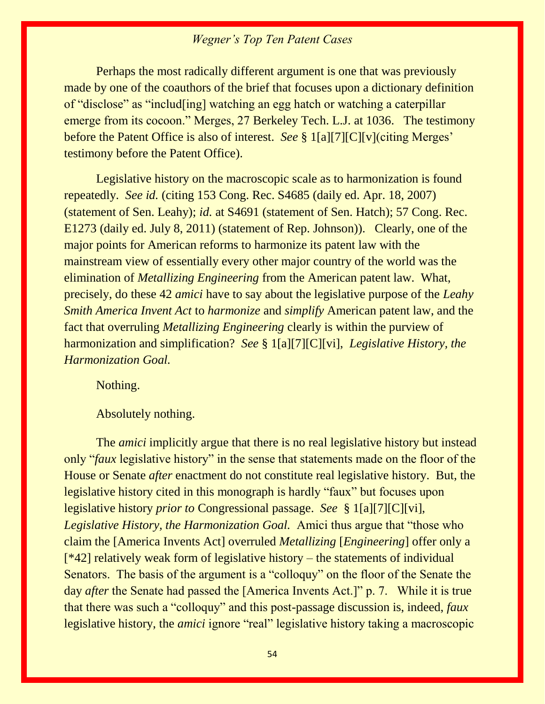Perhaps the most radically different argument is one that was previously made by one of the coauthors of the brief that focuses upon a dictionary definition of "disclose" as "includ[ing] watching an egg hatch or watching a caterpillar emerge from its cocoon." Merges, 27 Berkeley Tech. L.J. at 1036. The testimony before the Patent Office is also of interest. *See* § 1[a][7][C][v](citing Merges' testimony before the Patent Office).

Legislative history on the macroscopic scale as to harmonization is found repeatedly. *See id.* (citing 153 Cong. Rec. S4685 (daily ed. Apr. 18, 2007) (statement of Sen. Leahy); *id.* at S4691 (statement of Sen. Hatch); 57 Cong. Rec. E1273 (daily ed. July 8, 2011) (statement of Rep. Johnson)). Clearly, one of the major points for American reforms to harmonize its patent law with the mainstream view of essentially every other major country of the world was the elimination of *Metallizing Engineering* from the American patent law. What, precisely, do these 42 *amici* have to say about the legislative purpose of the *Leahy Smith America Invent Act* to *harmonize* and *simplify* American patent law, and the fact that overruling *Metallizing Engineering* clearly is within the purview of harmonization and simplification? *See* § 1[a][7][C][vi], *Legislative History, the Harmonization Goal.* 

Nothing.

#### Absolutely nothing.

The *amici* implicitly argue that there is no real legislative history but instead only "*faux* legislative history" in the sense that statements made on the floor of the House or Senate *after* enactment do not constitute real legislative history. But, the legislative history cited in this monograph is hardly "faux" but focuses upon legislative history *prior to* Congressional passage. *See* § 1[a][7][C][vi], *Legislative History, the Harmonization Goal.* Amici thus argue that "those who claim the [America Invents Act] overruled *Metallizing* [*Engineering*] offer only a [\*42] relatively weak form of legislative history – the statements of individual Senators. The basis of the argument is a "colloquy" on the floor of the Senate the day *after* the Senate had passed the [America Invents Act.]" p. 7. While it is true that there was such a "colloquy" and this post-passage discussion is, indeed, *faux*  legislative history, the *amici* ignore "real" legislative history taking a macroscopic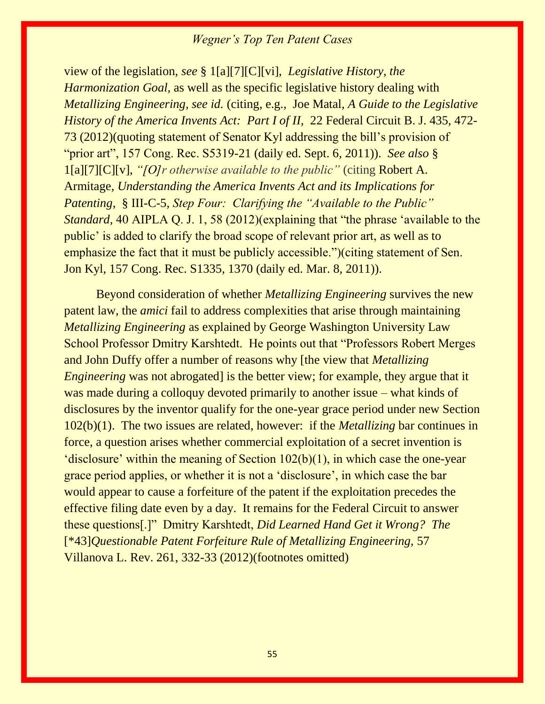view of the legislation, *see* § 1[a][7][C][vi], *Legislative History, the Harmonization Goal,* as well as the specific legislative history dealing with *Metallizing Engineering, see id.* (citing, e.g., Joe Matal, *A Guide to the Legislative History of the America Invents Act: Part I of II, 22 Federal Circuit B. J. 435, 472-*73 (2012)(quoting statement of Senator Kyl addressing the bill's provision of "prior art", 157 Cong. Rec. S5319-21 (daily ed. Sept. 6, 2011)). *See also* § 1[a][7][C][v], *"[O]r otherwise available to the public"* (citing Robert A. Armitage, *Understanding the America Invents Act and its Implications for Patenting*, § III-C-5, *Step Four: Clarifying the "Available to the Public" Standard,* 40 AIPLA Q. J. 1, 58 (2012)(explaining that "the phrase 'available to the public' is added to clarify the broad scope of relevant prior art, as well as to emphasize the fact that it must be publicly accessible.")(citing statement of Sen. Jon Kyl, 157 Cong. Rec. S1335, 1370 (daily ed. Mar. 8, 2011)).

Beyond consideration of whether *Metallizing Engineering* survives the new patent law, the *amici* fail to address complexities that arise through maintaining *Metallizing Engineering* as explained by George Washington University Law School Professor Dmitry Karshtedt. He points out that "Professors Robert Merges and John Duffy offer a number of reasons why [the view that *Metallizing Engineering* was not abrogated is the better view; for example, they argue that it was made during a colloquy devoted primarily to another issue – what kinds of disclosures by the inventor qualify for the one-year grace period under new Section 102(b)(1). The two issues are related, however: if the *Metallizing* bar continues in force, a question arises whether commercial exploitation of a secret invention is 'disclosure' within the meaning of Section 102(b)(1), in which case the one-year grace period applies, or whether it is not a 'disclosure', in which case the bar would appear to cause a forfeiture of the patent if the exploitation precedes the effective filing date even by a day. It remains for the Federal Circuit to answer these questions[.]" Dmitry Karshtedt, *Did Learned Hand Get it Wrong? The*  [\*43]*Questionable Patent Forfeiture Rule of Metallizing Engineering,* 57 Villanova L. Rev. 261, 332-33 (2012)(footnotes omitted)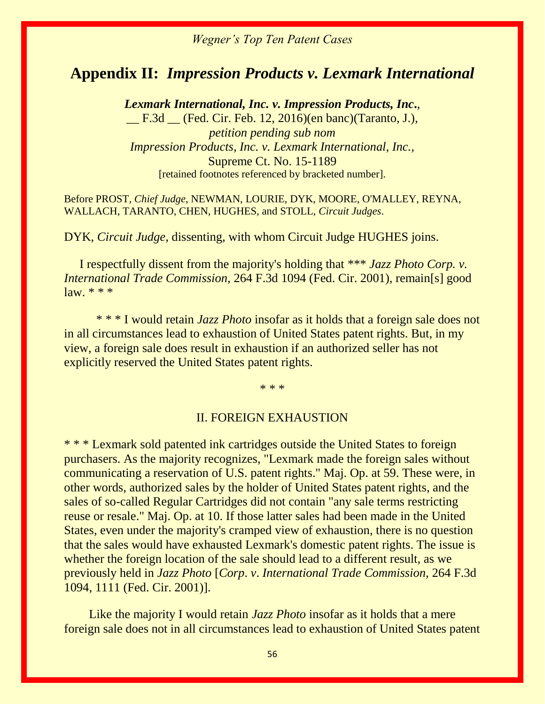### **Appendix II:** *Impression Products v. Lexmark International*

*Lexmark International, Inc. v. Impression Products, Inc***.**, \_\_ F.3d \_\_ (Fed. Cir. Feb. 12, 2016)(en banc)(Taranto, J.), *petition pending sub nom Impression Products, Inc. v. Lexmark International, Inc.,* Supreme Ct. No. 15-1189 [retained footnotes referenced by bracketed number].

Before PROST, *Chief Judge*, NEWMAN, LOURIE, DYK, MOORE, O'MALLEY, REYNA, WALLACH, TARANTO, CHEN, HUGHES, and STOLL, *Circuit Judges*.

DYK, *Circuit Judge*, dissenting, with whom Circuit Judge HUGHES joins.

 I respectfully dissent from the majority's holding that \*\*\* *Jazz Photo Corp. v. International Trade Commission,* 264 F.3d 1094 (Fed. Cir. 2001), remain[s] good  $law. ** *$ 

\* \* \* I would retain *Jazz Photo* insofar as it holds that a foreign sale does not in all circumstances lead to exhaustion of United States patent rights. But, in my view, a foreign sale does result in exhaustion if an authorized seller has not explicitly reserved the United States patent rights.

\* \* \*

#### II. FOREIGN EXHAUSTION

\* \* \* Lexmark sold patented ink cartridges outside the United States to foreign purchasers. As the majority recognizes, "Lexmark made the foreign sales without communicating a reservation of U.S. patent rights." Maj. Op. at 59. These were, in other words, authorized sales by the holder of United States patent rights, and the sales of so-called Regular Cartridges did not contain "any sale terms restricting reuse or resale." Maj. Op. at 10. If those latter sales had been made in the United States, even under the majority's cramped view of exhaustion, there is no question that the sales would have exhausted Lexmark's domestic patent rights. The issue is whether the foreign location of the sale should lead to a different result, as we previously held in *Jazz Photo* [*Corp*. *v*. *International Trade Commission,* 264 F.3d 1094, 1111 (Fed. Cir. 2001)].

 Like the majority I would retain *Jazz Photo* insofar as it holds that a mere foreign sale does not in all circumstances lead to exhaustion of United States patent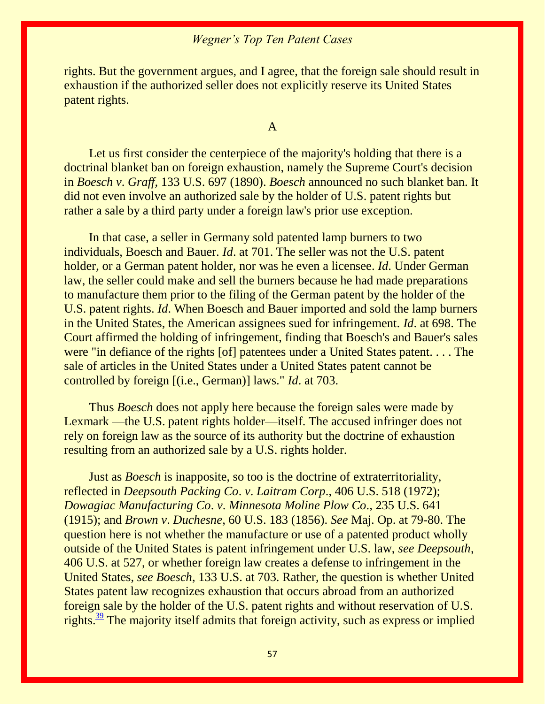rights. But the government argues, and I agree, that the foreign sale should result in exhaustion if the authorized seller does not explicitly reserve its United States patent rights.

A

 Let us first consider the centerpiece of the majority's holding that there is a doctrinal blanket ban on foreign exhaustion, namely the Supreme Court's decision in *Boesch v*. *Graff,* 133 U.S. 697 (1890). *Boesch* announced no such blanket ban. It did not even involve an authorized sale by the holder of U.S. patent rights but rather a sale by a third party under a foreign law's prior use exception.

 In that case, a seller in Germany sold patented lamp burners to two individuals, Boesch and Bauer. *Id*. at 701. The seller was not the U.S. patent holder, or a German patent holder, nor was he even a licensee. *Id*. Under German law, the seller could make and sell the burners because he had made preparations to manufacture them prior to the filing of the German patent by the holder of the U.S. patent rights. *Id*. When Boesch and Bauer imported and sold the lamp burners in the United States, the American assignees sued for infringement. *Id*. at 698. The Court affirmed the holding of infringement, finding that Boesch's and Bauer's sales were "in defiance of the rights [of] patentees under a United States patent. . . . The sale of articles in the United States under a United States patent cannot be controlled by foreign [(i.e., German)] laws." *Id*. at 703.

 Thus *Boesch* does not apply here because the foreign sales were made by Lexmark —the U.S. patent rights holder—itself. The accused infringer does not rely on foreign law as the source of its authority but the doctrine of exhaustion resulting from an authorized sale by a U.S. rights holder.

 Just as *Boesch* is inapposite, so too is the doctrine of extraterritoriality, reflected in *Deepsouth Packing Co*. *v*. *Laitram Corp*., 406 U.S. 518 (1972); *Dowagiac Manufacturing Co*. *v*. *Minnesota Moline Plow Co*., 235 U.S. 641 (1915); and *Brown v*. *Duchesne*, 60 U.S. 183 (1856). *See* Maj. Op. at 79-80. The question here is not whether the manufacture or use of a patented product wholly outside of the United States is patent infringement under U.S. law, *see Deepsouth*, 406 U.S. at 527, or whether foreign law creates a defense to infringement in the United States, *see Boesch*, 133 U.S. at 703. Rather, the question is whether United States patent law recognizes exhaustion that occurs abroad from an authorized foreign sale by the holder of the U.S. patent rights and without reservation of U.S. rights. $39$  The majority itself admits that foreign activity, such as express or implied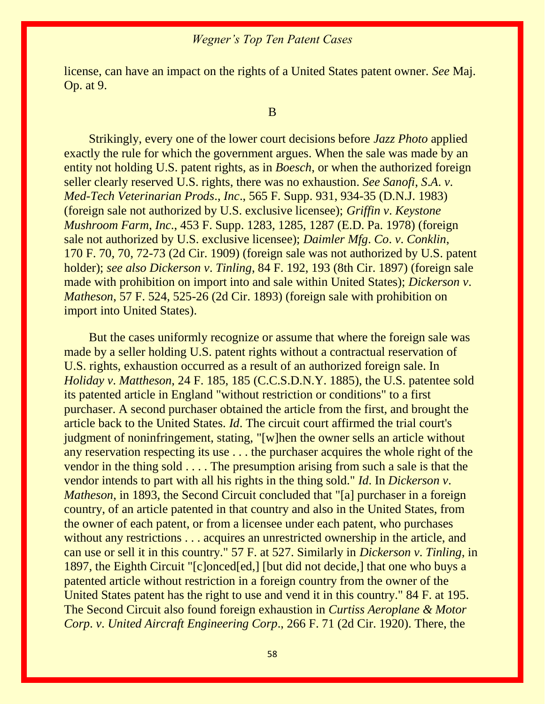license, can have an impact on the rights of a United States patent owner. *See* Maj. Op. at 9.

#### B

 Strikingly, every one of the lower court decisions before *Jazz Photo* applied exactly the rule for which the government argues. When the sale was made by an entity not holding U.S. patent rights, as in *Boesch*, or when the authorized foreign seller clearly reserved U.S. rights, there was no exhaustion. *See Sanofi*, *S*.*A*. *v*. *Med-Tech Veterinarian Prods*., *Inc*., 565 F. Supp. 931, 934-35 (D.N.J. 1983) (foreign sale not authorized by U.S. exclusive licensee); *Griffin v*. *Keystone Mushroom Farm*, *Inc*., 453 F. Supp. 1283, 1285, 1287 (E.D. Pa. 1978) (foreign sale not authorized by U.S. exclusive licensee); *Daimler Mfg*. *Co*. *v*. *Conklin*, 170 F. 70, 70, 72-73 (2d Cir. 1909) (foreign sale was not authorized by U.S. patent holder); *see also Dickerson v*. *Tinling*, 84 F. 192, 193 (8th Cir. 1897) (foreign sale made with prohibition on import into and sale within United States); *Dickerson v*. *Matheson*, 57 F. 524, 525-26 (2d Cir. 1893) (foreign sale with prohibition on import into United States).

 But the cases uniformly recognize or assume that where the foreign sale was made by a seller holding U.S. patent rights without a contractual reservation of U.S. rights, exhaustion occurred as a result of an authorized foreign sale. In *Holiday v*. *Mattheson*, 24 F. 185, 185 (C.C.S.D.N.Y. 1885), the U.S. patentee sold its patented article in England "without restriction or conditions" to a first purchaser. A second purchaser obtained the article from the first, and brought the article back to the United States. *Id*. The circuit court affirmed the trial court's judgment of noninfringement, stating, "[w]hen the owner sells an article without any reservation respecting its use . . . the purchaser acquires the whole right of the vendor in the thing sold . . . . The presumption arising from such a sale is that the vendor intends to part with all his rights in the thing sold." *Id*. In *Dickerson v*. *Matheson*, in 1893, the Second Circuit concluded that "[a] purchaser in a foreign country, of an article patented in that country and also in the United States, from the owner of each patent, or from a licensee under each patent, who purchases without any restrictions . . . acquires an unrestricted ownership in the article, and can use or sell it in this country." 57 F. at 527. Similarly in *Dickerson v*. *Tinling*, in 1897, the Eighth Circuit "[c]onced[ed,] [but did not decide,] that one who buys a patented article without restriction in a foreign country from the owner of the United States patent has the right to use and vend it in this country." 84 F. at 195. The Second Circuit also found foreign exhaustion in *Curtiss Aeroplane & Motor Corp*. *v*. *United Aircraft Engineering Corp*., 266 F. 71 (2d Cir. 1920). There, the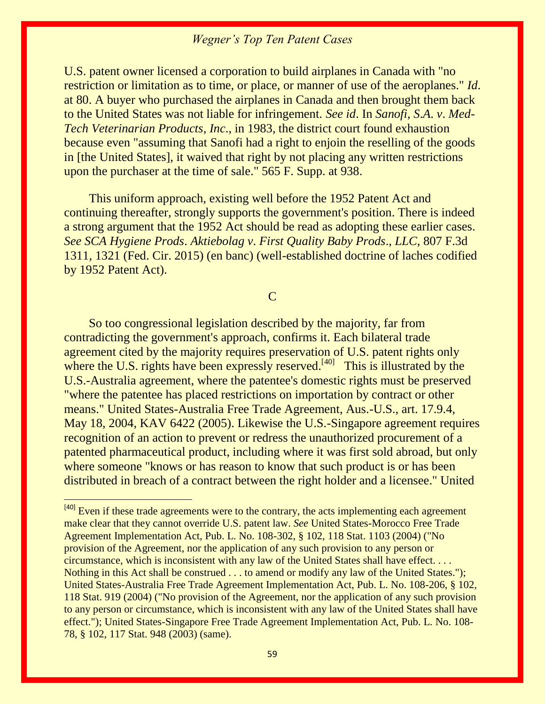U.S. patent owner licensed a corporation to build airplanes in Canada with "no restriction or limitation as to time, or place, or manner of use of the aeroplanes." *Id*. at 80. A buyer who purchased the airplanes in Canada and then brought them back to the United States was not liable for infringement. *See id*. In *Sanofi*, *S*.*A*. *v*. *Med-Tech Veterinarian Products*, *Inc*., in 1983, the district court found exhaustion because even "assuming that Sanofi had a right to enjoin the reselling of the goods in [the United States], it waived that right by not placing any written restrictions upon the purchaser at the time of sale." 565 F. Supp. at 938.

 This uniform approach, existing well before the 1952 Patent Act and continuing thereafter, strongly supports the government's position. There is indeed a strong argument that the 1952 Act should be read as adopting these earlier cases. *See SCA Hygiene Prods*. *Aktiebolag v*. *First Quality Baby Prods*., *LLC*, 807 F.3d 1311*,* 1321 (Fed. Cir. 2015) (en banc) (well-established doctrine of laches codified by 1952 Patent Act).

C

 So too congressional legislation described by the majority, far from contradicting the government's approach, confirms it. Each bilateral trade agreement cited by the majority requires preservation of U.S. patent rights only where the U.S. rights have been expressly reserved.<sup>[40]</sup> This is illustrated by the U.S.-Australia agreement, where the patentee's domestic rights must be preserved "where the patentee has placed restrictions on importation by contract or other means." United States-Australia Free Trade Agreement, Aus.-U.S., art. 17.9.4, May 18, 2004, KAV 6422 (2005). Likewise the U.S.-Singapore agreement requires recognition of an action to prevent or redress the unauthorized procurement of a patented pharmaceutical product, including where it was first sold abroad, but only where someone "knows or has reason to know that such product is or has been distributed in breach of a contract between the right holder and a licensee." United

 $[40]$  Even if these trade agreements were to the contrary, the acts implementing each agreement make clear that they cannot override U.S. patent law. *See* United States-Morocco Free Trade Agreement Implementation Act, Pub. L. No. 108-302, § 102, 118 Stat. 1103 (2004) ("No provision of the Agreement, nor the application of any such provision to any person or circumstance, which is inconsistent with any law of the United States shall have effect. . . . Nothing in this Act shall be construed . . . to amend or modify any law of the United States."); United States-Australia Free Trade Agreement Implementation Act, Pub. L. No. 108-206, § 102, 118 Stat. 919 (2004) ("No provision of the Agreement, nor the application of any such provision to any person or circumstance, which is inconsistent with any law of the United States shall have effect."); United States-Singapore Free Trade Agreement Implementation Act, Pub. L. No. 108- 78, § 102, 117 Stat. 948 (2003) (same).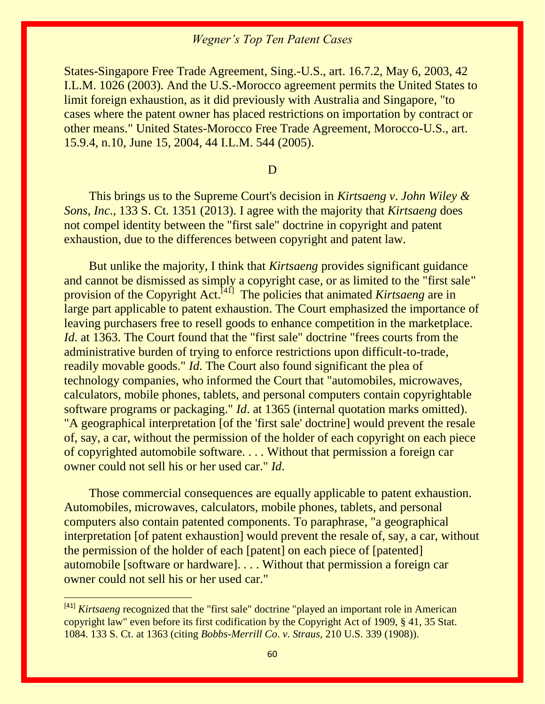States-Singapore Free Trade Agreement, Sing.-U.S., art. 16.7.2, May 6, 2003, 42 I.L.M. 1026 (2003). And the U.S.-Morocco agreement permits the United States to limit foreign exhaustion, as it did previously with Australia and Singapore, "to cases where the patent owner has placed restrictions on importation by contract or other means." United States-Morocco Free Trade Agreement, Morocco-U.S., art. 15.9.4, n.10, June 15, 2004, 44 I.L.M. 544 (2005).

D

 This brings us to the Supreme Court's decision in *Kirtsaeng v*. *John Wiley & Sons*, *Inc*., 133 S. Ct. 1351 (2013). I agree with the majority that *Kirtsaeng* does not compel identity between the "first sale" doctrine in copyright and patent exhaustion, due to the differences between copyright and patent law.

 But unlike the majority, I think that *Kirtsaeng* provides significant guidance and cannot be dismissed as simply a copyright case, or as limited to the "first sale" provision of the Copyright Act.<sup>[41]</sup> The policies that animated *Kirtsaeng* are in large part applicable to patent exhaustion. The Court emphasized the importance of leaving purchasers free to resell goods to enhance competition in the marketplace. *Id.* at 1363. The Court found that the "first sale" doctrine "frees courts from the administrative burden of trying to enforce restrictions upon difficult-to-trade, readily movable goods." *Id*. The Court also found significant the plea of technology companies, who informed the Court that "automobiles, microwaves, calculators, mobile phones, tablets, and personal computers contain copyrightable software programs or packaging." *Id*. at 1365 (internal quotation marks omitted). "A geographical interpretation [of the 'first sale' doctrine] would prevent the resale of, say, a car, without the permission of the holder of each copyright on each piece of copyrighted automobile software. . . . Without that permission a foreign car owner could not sell his or her used car." *Id*.

 Those commercial consequences are equally applicable to patent exhaustion. Automobiles, microwaves, calculators, mobile phones, tablets, and personal computers also contain patented components. To paraphrase, "a geographical interpretation [of patent exhaustion] would prevent the resale of, say, a car, without the permission of the holder of each [patent] on each piece of [patented] automobile [software or hardware]. . . . Without that permission a foreign car owner could not sell his or her used car."

 $\overline{a}$ 

<sup>[41]</sup> *Kirtsaeng* recognized that the "first sale" doctrine "played an important role in American copyright law" even before its first codification by the Copyright Act of 1909, § 41, 35 Stat. 1084. 133 S. Ct. at 1363 (citing *Bobbs-Merrill Co*. *v*. *Straus,* 210 U.S. 339 (1908)).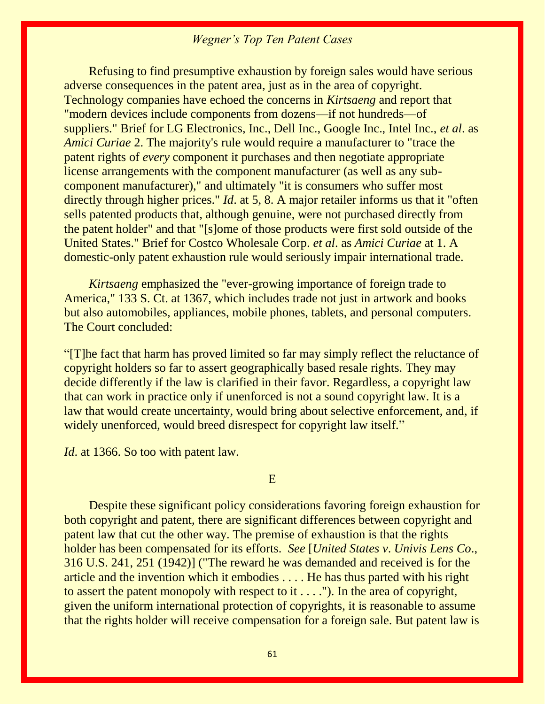Refusing to find presumptive exhaustion by foreign sales would have serious adverse consequences in the patent area, just as in the area of copyright. Technology companies have echoed the concerns in *Kirtsaeng* and report that "modern devices include components from dozens—if not hundreds—of suppliers." Brief for LG Electronics, Inc., Dell Inc., Google Inc., Intel Inc., *et al*. as *Amici Curiae* 2. The majority's rule would require a manufacturer to "trace the patent rights of *every* component it purchases and then negotiate appropriate license arrangements with the component manufacturer (as well as any subcomponent manufacturer)," and ultimately "it is consumers who suffer most directly through higher prices." *Id*. at 5, 8. A major retailer informs us that it "often sells patented products that, although genuine, were not purchased directly from the patent holder" and that "[s]ome of those products were first sold outside of the United States." Brief for Costco Wholesale Corp. *et al*. as *Amici Curiae* at 1. A domestic-only patent exhaustion rule would seriously impair international trade.

 *Kirtsaeng* emphasized the "ever-growing importance of foreign trade to America," 133 S. Ct. at 1367, which includes trade not just in artwork and books but also automobiles, appliances, mobile phones, tablets, and personal computers. The Court concluded:

"[T]he fact that harm has proved limited so far may simply reflect the reluctance of copyright holders so far to assert geographically based resale rights. They may decide differently if the law is clarified in their favor. Regardless, a copyright law that can work in practice only if unenforced is not a sound copyright law. It is a law that would create uncertainty, would bring about selective enforcement, and, if widely unenforced, would breed disrespect for copyright law itself."

*Id.* at 1366. So too with patent law.

#### E

 Despite these significant policy considerations favoring foreign exhaustion for both copyright and patent, there are significant differences between copyright and patent law that cut the other way. The premise of exhaustion is that the rights holder has been compensated for its efforts. *See* [*United States v*. *Univis Lens Co*., 316 U.S. 241, 251 (1942)] ("The reward he was demanded and received is for the article and the invention which it embodies . . . . He has thus parted with his right to assert the patent monopoly with respect to it . . . ."). In the area of copyright, given the uniform international protection of copyrights, it is reasonable to assume that the rights holder will receive compensation for a foreign sale. But patent law is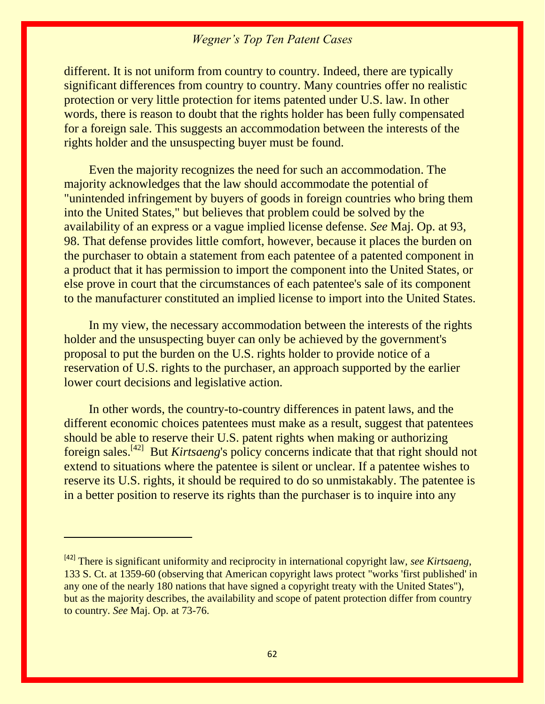different. It is not uniform from country to country. Indeed, there are typically significant differences from country to country. Many countries offer no realistic protection or very little protection for items patented under U.S. law. In other words, there is reason to doubt that the rights holder has been fully compensated for a foreign sale. This suggests an accommodation between the interests of the rights holder and the unsuspecting buyer must be found.

 Even the majority recognizes the need for such an accommodation. The majority acknowledges that the law should accommodate the potential of "unintended infringement by buyers of goods in foreign countries who bring them into the United States," but believes that problem could be solved by the availability of an express or a vague implied license defense. *See* Maj. Op. at 93, 98. That defense provides little comfort, however, because it places the burden on the purchaser to obtain a statement from each patentee of a patented component in a product that it has permission to import the component into the United States, or else prove in court that the circumstances of each patentee's sale of its component to the manufacturer constituted an implied license to import into the United States.

 In my view, the necessary accommodation between the interests of the rights holder and the unsuspecting buyer can only be achieved by the government's proposal to put the burden on the U.S. rights holder to provide notice of a reservation of U.S. rights to the purchaser, an approach supported by the earlier lower court decisions and legislative action.

 In other words, the country-to-country differences in patent laws, and the different economic choices patentees must make as a result, suggest that patentees should be able to reserve their U.S. patent rights when making or authorizing foreign sales.<sup>[42]</sup> But *Kirtsaeng*'s policy concerns indicate that that right should not extend to situations where the patentee is silent or unclear. If a patentee wishes to reserve its U.S. rights, it should be required to do so unmistakably. The patentee is in a better position to reserve its rights than the purchaser is to inquire into any

 $\overline{a}$ 

<sup>[42]</sup> There is significant uniformity and reciprocity in international copyright law, *see Kirtsaeng*, 133 S. Ct. at 1359-60 (observing that American copyright laws protect "works 'first published' in any one of the nearly 180 nations that have signed a copyright treaty with the United States"), but as the majority describes, the availability and scope of patent protection differ from country to country. *See* Maj. Op. at 73-76.